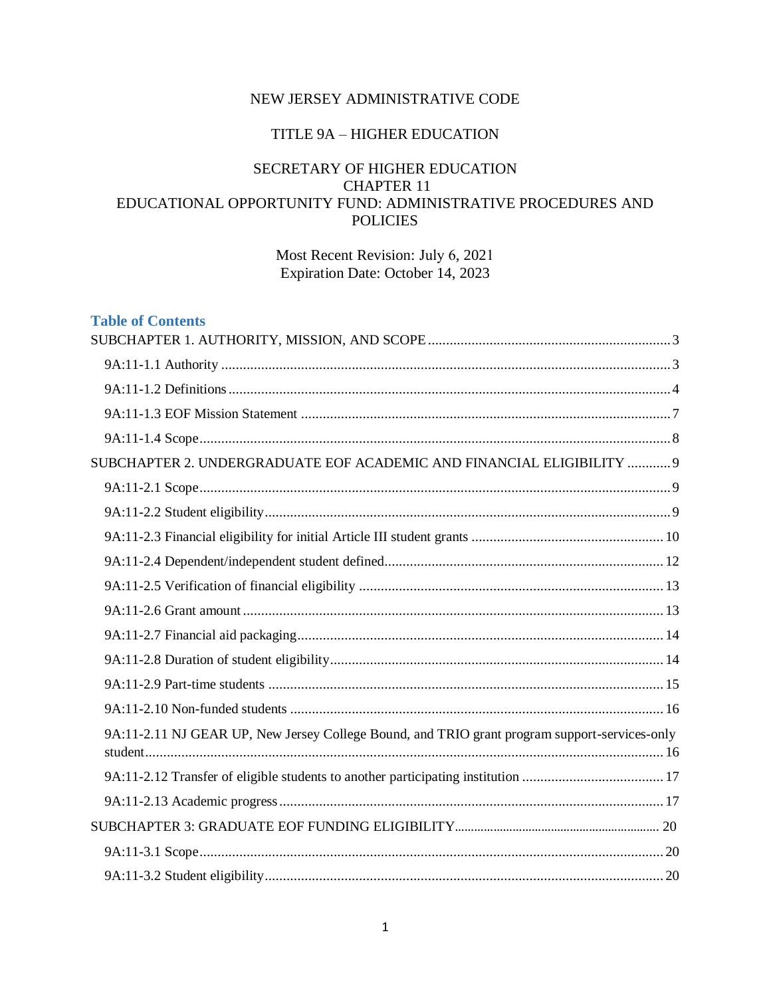# NEW JERSEY ADMINISTRATIVE CODE

# TITLE 9A – HIGHER EDUCATION

# SECRETARY OF HIGHER EDUCATION CHAPTER 11 EDUCATIONAL OPPORTUNITY FUND: ADMINISTRATIVE PROCEDURES AND POLICIES

Most Recent Revision: July 6, 2021 Expiration Date: October 14, 2023

| <b>Table of Contents</b>                                                                      |  |
|-----------------------------------------------------------------------------------------------|--|
|                                                                                               |  |
|                                                                                               |  |
|                                                                                               |  |
|                                                                                               |  |
|                                                                                               |  |
| SUBCHAPTER 2. UNDERGRADUATE EOF ACADEMIC AND FINANCIAL ELIGIBILITY  9                         |  |
|                                                                                               |  |
|                                                                                               |  |
|                                                                                               |  |
|                                                                                               |  |
|                                                                                               |  |
|                                                                                               |  |
|                                                                                               |  |
|                                                                                               |  |
|                                                                                               |  |
|                                                                                               |  |
| 9A:11-2.11 NJ GEAR UP, New Jersey College Bound, and TRIO grant program support-services-only |  |
|                                                                                               |  |
|                                                                                               |  |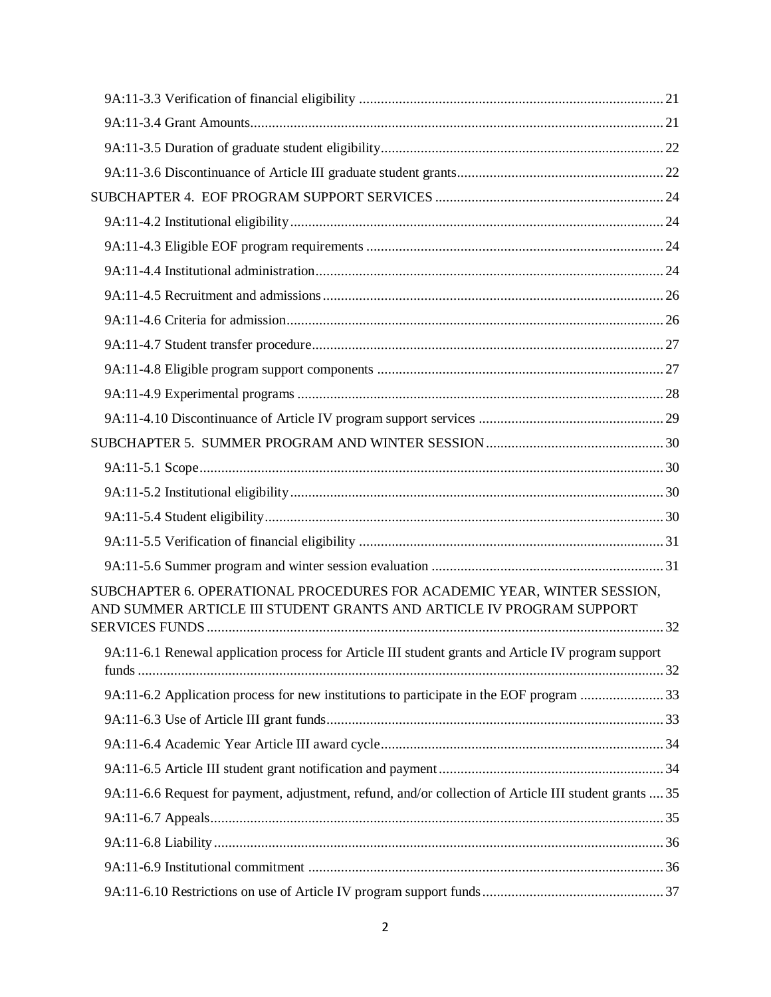| SUBCHAPTER 6. OPERATIONAL PROCEDURES FOR ACADEMIC YEAR, WINTER SESSION,<br>AND SUMMER ARTICLE III STUDENT GRANTS AND ARTICLE IV PROGRAM SUPPORT |  |
|-------------------------------------------------------------------------------------------------------------------------------------------------|--|
| 9A:11-6.1 Renewal application process for Article III student grants and Article IV program support                                             |  |
| 9A:11-6.2 Application process for new institutions to participate in the EOF program 33                                                         |  |
|                                                                                                                                                 |  |
|                                                                                                                                                 |  |
|                                                                                                                                                 |  |
| 9A:11-6.6 Request for payment, adjustment, refund, and/or collection of Article III student grants  35                                          |  |
|                                                                                                                                                 |  |
|                                                                                                                                                 |  |
|                                                                                                                                                 |  |
|                                                                                                                                                 |  |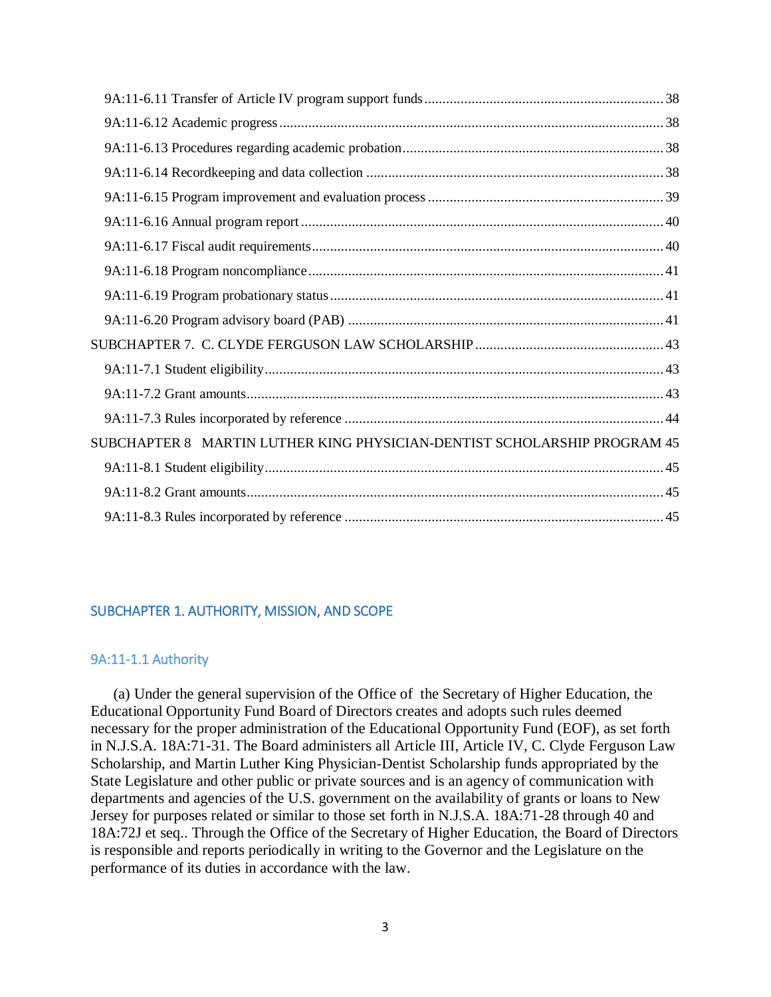| SUBCHAPTER 8 MARTIN LUTHER KING PHYSICIAN-DENTIST SCHOLARSHIP PROGRAM 45 |  |
|--------------------------------------------------------------------------|--|
|                                                                          |  |
|                                                                          |  |
|                                                                          |  |

# <span id="page-2-0"></span>SUBCHAPTER 1. AUTHORITY, MISSION, AND SCOPE

### <span id="page-2-1"></span>9A:11-1.1 Authority

(a) Under the general supervision of the Office of the Secretary of Higher Education, the Educational Opportunity Fund Board of Directors creates and adopts such rules deemed necessary for the proper administration of the Educational Opportunity Fund (EOF), as set forth in N.J.S.A. 18A:71-31. The Board administers all Article III, Article IV, C. Clyde Ferguson Law Scholarship, and Martin Luther King Physician-Dentist Scholarship funds appropriated by the State Legislature and other public or private sources and is an agency of communication with departments and agencies of the U.S. government on the availability of grants or loans to New Jersey for purposes related or similar to those set forth in N.J.S.A. 18A:71-28 through 40 and 18A:72J et seq.. Through the Office of the Secretary of Higher Education, the Board of Directors is responsible and reports periodically in writing to the Governor and the Legislature on the performance of its duties in accordance with the law.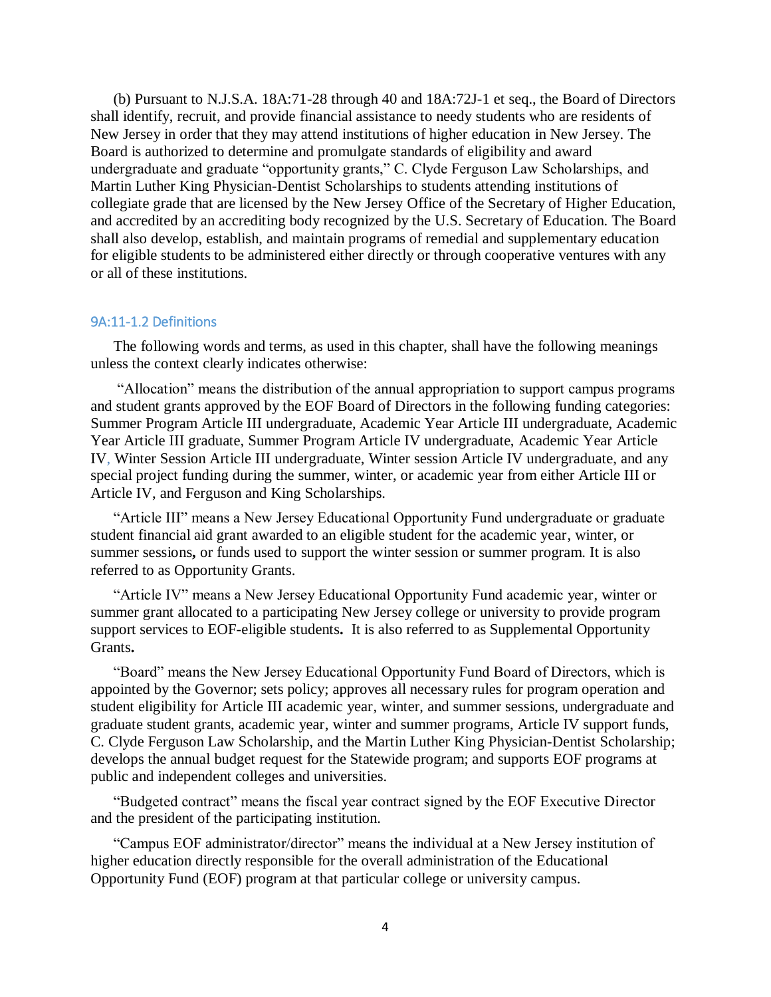(b) Pursuant to N.J.S.A. 18A:71-28 through 40 and 18A:72J-1 et seq., the Board of Directors shall identify, recruit, and provide financial assistance to needy students who are residents of New Jersey in order that they may attend institutions of higher education in New Jersey. The Board is authorized to determine and promulgate standards of eligibility and award undergraduate and graduate "opportunity grants," C. Clyde Ferguson Law Scholarships, and Martin Luther King Physician-Dentist Scholarships to students attending institutions of collegiate grade that are licensed by the New Jersey Office of the Secretary of Higher Education, and accredited by an accrediting body recognized by the U.S. Secretary of Education. The Board shall also develop, establish, and maintain programs of remedial and supplementary education for eligible students to be administered either directly or through cooperative ventures with any or all of these institutions.

### <span id="page-3-0"></span>9A:11-1.2 Definitions

The following words and terms, as used in this chapter, shall have the following meanings unless the context clearly indicates otherwise:

"Allocation" means the distribution of the annual appropriation to support campus programs and student grants approved by the EOF Board of Directors in the following funding categories: Summer Program Article III undergraduate, Academic Year Article III undergraduate, Academic Year Article III graduate, Summer Program Article IV undergraduate, Academic Year Article IV, Winter Session Article III undergraduate, Winter session Article IV undergraduate, and any special project funding during the summer, winter, or academic year from either Article III or Article IV, and Ferguson and King Scholarships.

"Article III" means a New Jersey Educational Opportunity Fund undergraduate or graduate student financial aid grant awarded to an eligible student for the academic year, winter, or summer sessions**,** or funds used to support the winter session or summer program. It is also referred to as Opportunity Grants.

"Article IV" means a New Jersey Educational Opportunity Fund academic year, winter or summer grant allocated to a participating New Jersey college or university to provide program support services to EOF-eligible students**.** It is also referred to as Supplemental Opportunity Grants**.** 

"Board" means the New Jersey Educational Opportunity Fund Board of Directors, which is appointed by the Governor; sets policy; approves all necessary rules for program operation and student eligibility for Article III academic year, winter, and summer sessions, undergraduate and graduate student grants, academic year, winter and summer programs, Article IV support funds, C. Clyde Ferguson Law Scholarship, and the Martin Luther King Physician-Dentist Scholarship; develops the annual budget request for the Statewide program; and supports EOF programs at public and independent colleges and universities.

"Budgeted contract" means the fiscal year contract signed by the EOF Executive Director and the president of the participating institution.

"Campus EOF administrator/director" means the individual at a New Jersey institution of higher education directly responsible for the overall administration of the Educational Opportunity Fund (EOF) program at that particular college or university campus.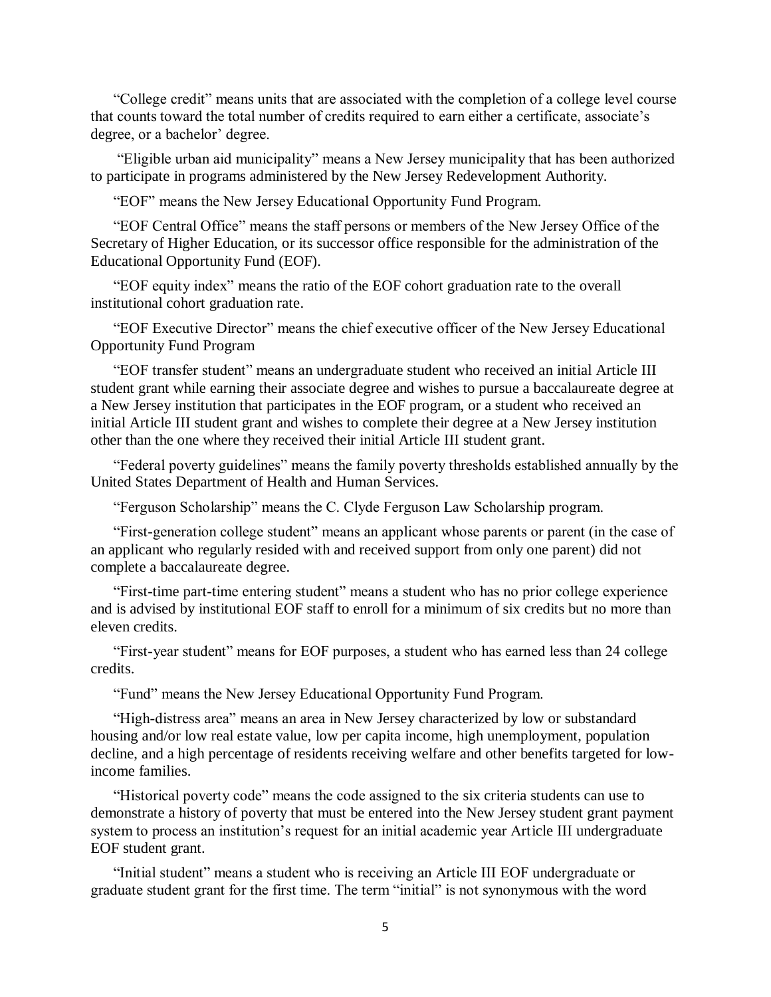"College credit" means units that are associated with the completion of a college level course that counts toward the total number of credits required to earn either a certificate, associate's degree, or a bachelor' degree.

"Eligible urban aid municipality" means a New Jersey municipality that has been authorized to participate in programs administered by the New Jersey Redevelopment Authority.

"EOF" means the New Jersey Educational Opportunity Fund Program.

"EOF Central Office" means the staff persons or members of the New Jersey Office of the Secretary of Higher Education, or its successor office responsible for the administration of the Educational Opportunity Fund (EOF).

"EOF equity index" means the ratio of the EOF cohort graduation rate to the overall institutional cohort graduation rate.

"EOF Executive Director" means the chief executive officer of the New Jersey Educational Opportunity Fund Program

"EOF transfer student" means an undergraduate student who received an initial Article III student grant while earning their associate degree and wishes to pursue a baccalaureate degree at a New Jersey institution that participates in the EOF program, or a student who received an initial Article III student grant and wishes to complete their degree at a New Jersey institution other than the one where they received their initial Article III student grant.

"Federal poverty guidelines" means the family poverty thresholds established annually by the United States Department of Health and Human Services.

"Ferguson Scholarship" means the C. Clyde Ferguson Law Scholarship program.

"First-generation college student" means an applicant whose parents or parent (in the case of an applicant who regularly resided with and received support from only one parent) did not complete a baccalaureate degree.

"First-time part-time entering student" means a student who has no prior college experience and is advised by institutional EOF staff to enroll for a minimum of six credits but no more than eleven credits.

"First-year student" means for EOF purposes, a student who has earned less than 24 college credits.

"Fund" means the New Jersey Educational Opportunity Fund Program.

"High-distress area" means an area in New Jersey characterized by low or substandard housing and/or low real estate value, low per capita income, high unemployment, population decline, and a high percentage of residents receiving welfare and other benefits targeted for lowincome families.

"Historical poverty code" means the code assigned to the six criteria students can use to demonstrate a history of poverty that must be entered into the New Jersey student grant payment system to process an institution's request for an initial academic year Article III undergraduate EOF student grant.

"Initial student" means a student who is receiving an Article III EOF undergraduate or graduate student grant for the first time. The term "initial" is not synonymous with the word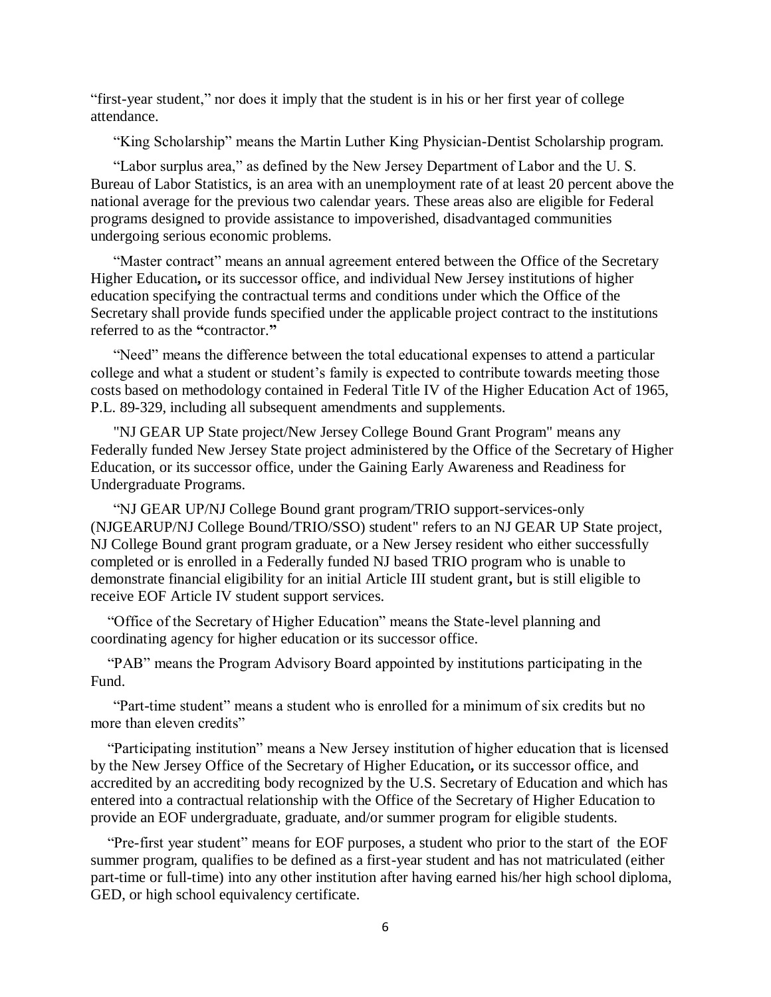"first-year student," nor does it imply that the student is in his or her first year of college attendance.

"King Scholarship" means the Martin Luther King Physician-Dentist Scholarship program.

"Labor surplus area," as defined by the New Jersey Department of Labor and the U. S. Bureau of Labor Statistics, is an area with an unemployment rate of at least 20 percent above the national average for the previous two calendar years. These areas also are eligible for Federal programs designed to provide assistance to impoverished, disadvantaged communities undergoing serious economic problems.

"Master contract" means an annual agreement entered between the Office of the Secretary Higher Education**,** or its successor office, and individual New Jersey institutions of higher education specifying the contractual terms and conditions under which the Office of the Secretary shall provide funds specified under the applicable project contract to the institutions referred to as the **"**contractor.**"**

"Need" means the difference between the total educational expenses to attend a particular college and what a student or student's family is expected to contribute towards meeting those costs based on methodology contained in Federal Title IV of the Higher Education Act of 1965, P.L. 89-329, including all subsequent amendments and supplements.

"NJ GEAR UP State project/New Jersey College Bound Grant Program" means any Federally funded New Jersey State project administered by the Office of the Secretary of Higher Education, or its successor office, under the Gaining Early Awareness and Readiness for Undergraduate Programs.

"NJ GEAR UP/NJ College Bound grant program/TRIO support-services-only (NJGEARUP/NJ College Bound/TRIO/SSO) student" refers to an NJ GEAR UP State project, NJ College Bound grant program graduate, or a New Jersey resident who either successfully completed or is enrolled in a Federally funded NJ based TRIO program who is unable to demonstrate financial eligibility for an initial Article III student grant**,** but is still eligible to receive EOF Article IV student support services.

"Office of the Secretary of Higher Education" means the State-level planning and coordinating agency for higher education or its successor office.

"PAB" means the Program Advisory Board appointed by institutions participating in the Fund.

"Part-time student" means a student who is enrolled for a minimum of six credits but no more than eleven credits"

"Participating institution" means a New Jersey institution of higher education that is licensed by the New Jersey Office of the Secretary of Higher Education**,** or its successor office, and accredited by an accrediting body recognized by the U.S. Secretary of Education and which has entered into a contractual relationship with the Office of the Secretary of Higher Education to provide an EOF undergraduate, graduate, and/or summer program for eligible students.

"Pre-first year student" means for EOF purposes, a student who prior to the start of the EOF summer program, qualifies to be defined as a first-year student and has not matriculated (either part-time or full-time) into any other institution after having earned his/her high school diploma, GED, or high school equivalency certificate.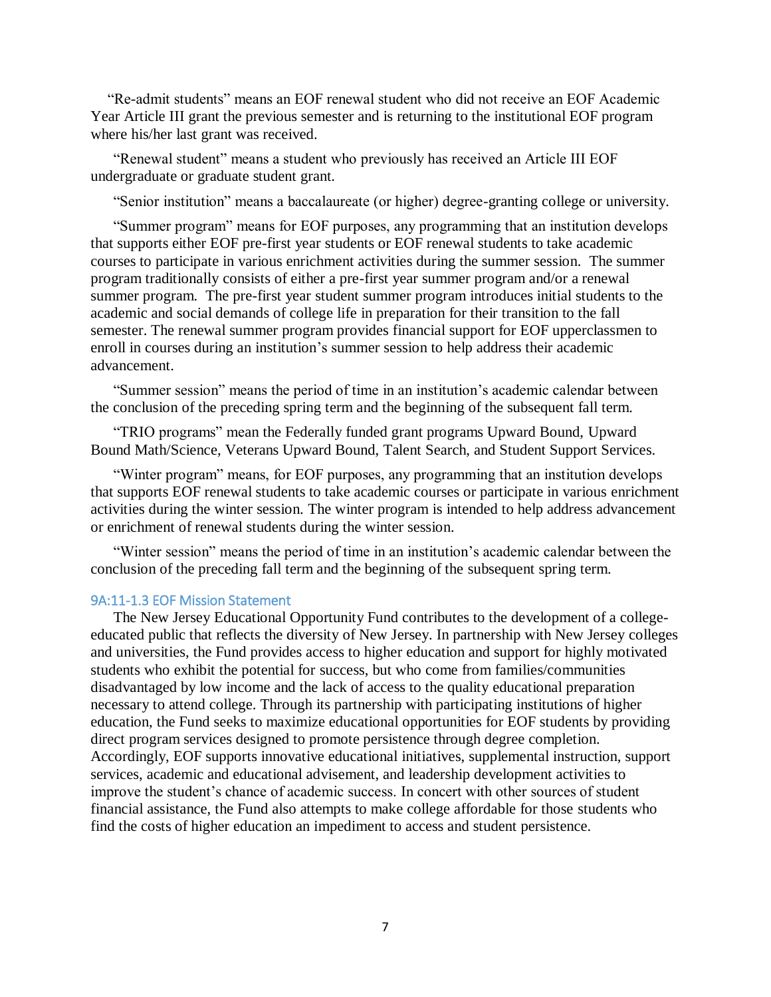"Re-admit students" means an EOF renewal student who did not receive an EOF Academic Year Article III grant the previous semester and is returning to the institutional EOF program where his/her last grant was received.

"Renewal student" means a student who previously has received an Article III EOF undergraduate or graduate student grant.

"Senior institution" means a baccalaureate (or higher) degree-granting college or university.

"Summer program" means for EOF purposes, any programming that an institution develops that supports either EOF pre-first year students or EOF renewal students to take academic courses to participate in various enrichment activities during the summer session. The summer program traditionally consists of either a pre-first year summer program and/or a renewal summer program. The pre-first year student summer program introduces initial students to the academic and social demands of college life in preparation for their transition to the fall semester. The renewal summer program provides financial support for EOF upperclassmen to enroll in courses during an institution's summer session to help address their academic advancement.

"Summer session" means the period of time in an institution's academic calendar between the conclusion of the preceding spring term and the beginning of the subsequent fall term.

"TRIO programs" mean the Federally funded grant programs Upward Bound, Upward Bound Math/Science, Veterans Upward Bound, Talent Search, and Student Support Services.

"Winter program" means, for EOF purposes, any programming that an institution develops that supports EOF renewal students to take academic courses or participate in various enrichment activities during the winter session. The winter program is intended to help address advancement or enrichment of renewal students during the winter session.

"Winter session" means the period of time in an institution's academic calendar between the conclusion of the preceding fall term and the beginning of the subsequent spring term.

# <span id="page-6-0"></span>9A:11-1.3 EOF Mission Statement

The New Jersey Educational Opportunity Fund contributes to the development of a collegeeducated public that reflects the diversity of New Jersey. In partnership with New Jersey colleges and universities, the Fund provides access to higher education and support for highly motivated students who exhibit the potential for success, but who come from families/communities disadvantaged by low income and the lack of access to the quality educational preparation necessary to attend college. Through its partnership with participating institutions of higher education, the Fund seeks to maximize educational opportunities for EOF students by providing direct program services designed to promote persistence through degree completion. Accordingly, EOF supports innovative educational initiatives, supplemental instruction, support services, academic and educational advisement, and leadership development activities to improve the student's chance of academic success. In concert with other sources of student financial assistance, the Fund also attempts to make college affordable for those students who find the costs of higher education an impediment to access and student persistence.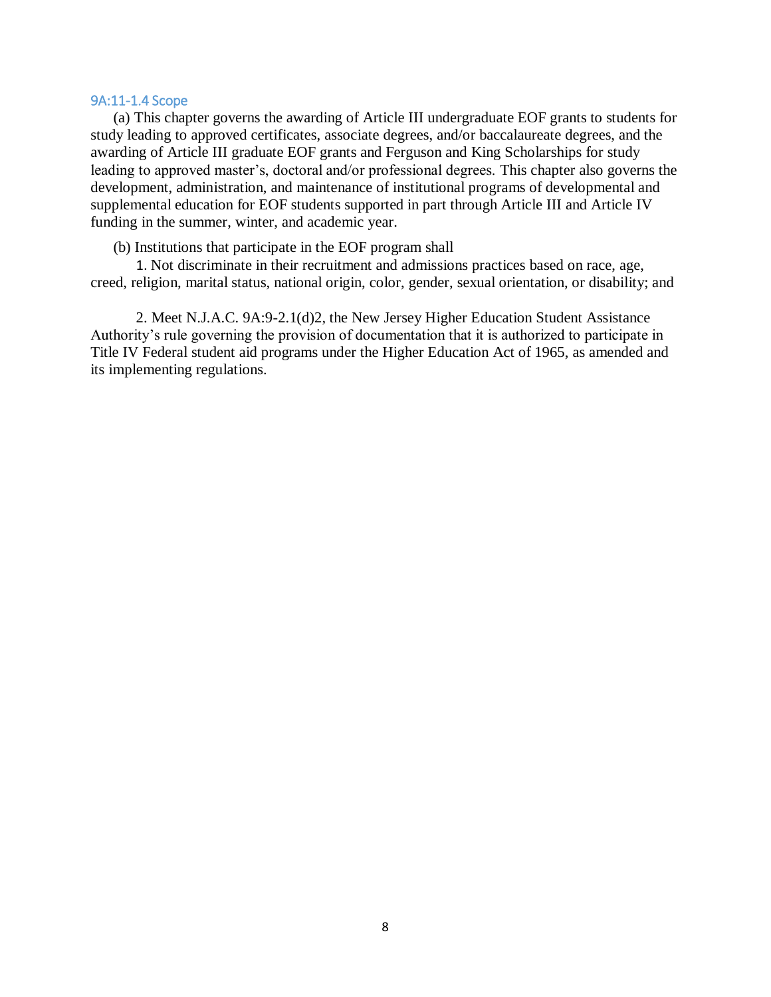### <span id="page-7-0"></span>9A:11-1.4 Scope

(a) This chapter governs the awarding of Article III undergraduate EOF grants to students for study leading to approved certificates, associate degrees, and/or baccalaureate degrees, and the awarding of Article III graduate EOF grants and Ferguson and King Scholarships for study leading to approved master's, doctoral and/or professional degrees. This chapter also governs the development, administration, and maintenance of institutional programs of developmental and supplemental education for EOF students supported in part through Article III and Article IV funding in the summer, winter, and academic year.

(b) Institutions that participate in the EOF program shall

1. Not discriminate in their recruitment and admissions practices based on race, age, creed, religion, marital status, national origin, color, gender, sexual orientation, or disability; and

2. Meet N.J.A.C. 9A:9-2.1(d)2, the New Jersey Higher Education Student Assistance Authority's rule governing the provision of documentation that it is authorized to participate in Title IV Federal student aid programs under the Higher Education Act of 1965, as amended and its implementing regulations.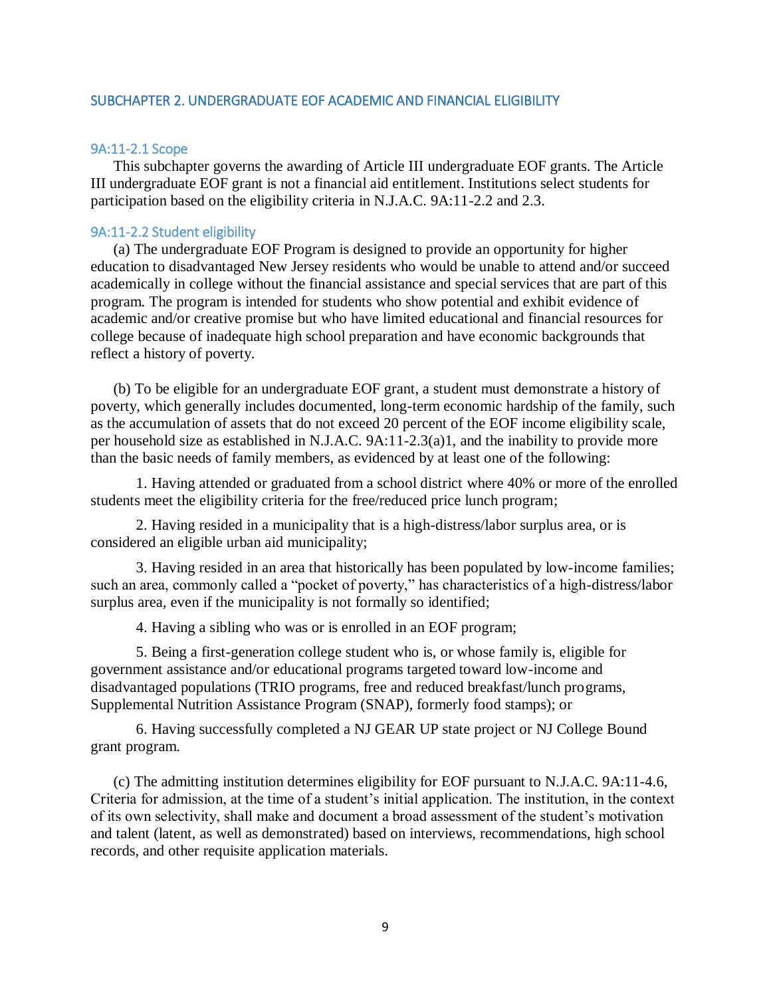### <span id="page-8-0"></span>SUBCHAPTER 2. UNDERGRADUATE EOF ACADEMIC AND FINANCIAL ELIGIBILITY

### <span id="page-8-1"></span>9A:11-2.1 Scope

This subchapter governs the awarding of Article III undergraduate EOF grants. The Article III undergraduate EOF grant is not a financial aid entitlement. Institutions select students for participation based on the eligibility criteria in N.J.A.C. 9A:11-2.2 and 2.3.

#### <span id="page-8-2"></span>9A:11-2.2 Student eligibility

(a) The undergraduate EOF Program is designed to provide an opportunity for higher education to disadvantaged New Jersey residents who would be unable to attend and/or succeed academically in college without the financial assistance and special services that are part of this program. The program is intended for students who show potential and exhibit evidence of academic and/or creative promise but who have limited educational and financial resources for college because of inadequate high school preparation and have economic backgrounds that reflect a history of poverty.

(b) To be eligible for an undergraduate EOF grant, a student must demonstrate a history of poverty, which generally includes documented, long-term economic hardship of the family, such as the accumulation of assets that do not exceed 20 percent of the EOF income eligibility scale, per household size as established in N.J.A.C. 9A:11-2.3(a)1, and the inability to provide more than the basic needs of family members, as evidenced by at least one of the following:

1. Having attended or graduated from a school district where 40% or more of the enrolled students meet the eligibility criteria for the free/reduced price lunch program;

2. Having resided in a municipality that is a high-distress/labor surplus area, or is considered an eligible urban aid municipality;

3. Having resided in an area that historically has been populated by low-income families; such an area, commonly called a "pocket of poverty," has characteristics of a high-distress/labor surplus area, even if the municipality is not formally so identified;

4. Having a sibling who was or is enrolled in an EOF program;

5. Being a first-generation college student who is, or whose family is, eligible for government assistance and/or educational programs targeted toward low-income and disadvantaged populations (TRIO programs, free and reduced breakfast/lunch programs, Supplemental Nutrition Assistance Program (SNAP), formerly food stamps); or

6. Having successfully completed a NJ GEAR UP state project or NJ College Bound grant program.

(c) The admitting institution determines eligibility for EOF pursuant to N.J.A.C. 9A:11-4.6, Criteria for admission, at the time of a student's initial application. The institution, in the context of its own selectivity, shall make and document a broad assessment of the student's motivation and talent (latent, as well as demonstrated) based on interviews, recommendations, high school records, and other requisite application materials.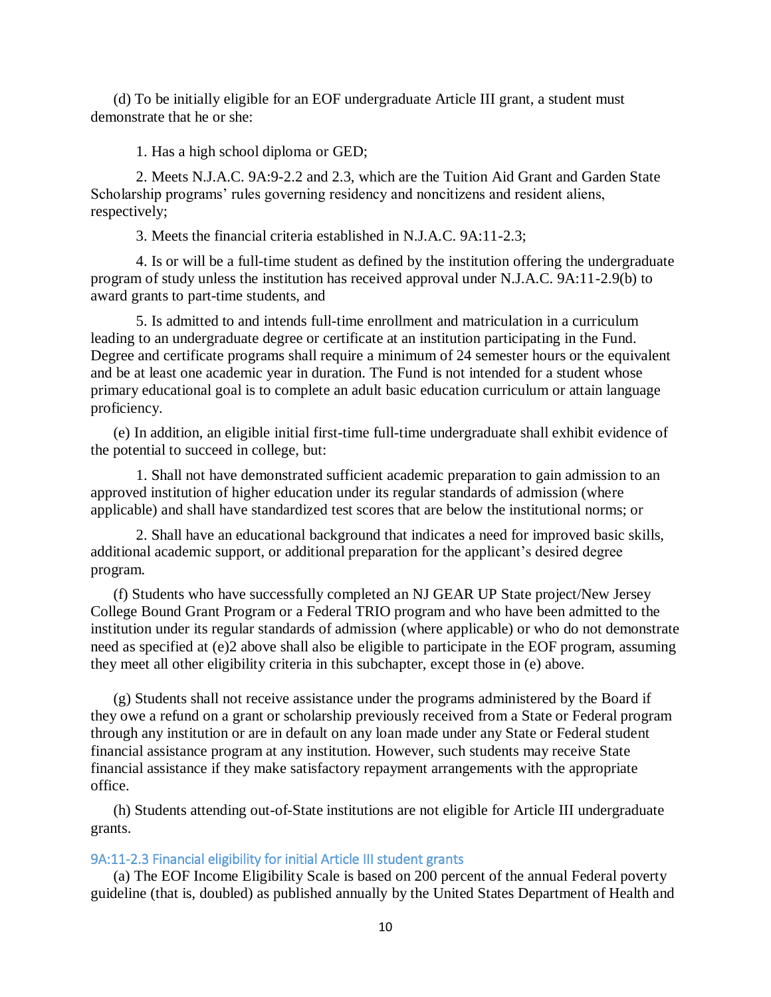(d) To be initially eligible for an EOF undergraduate Article III grant, a student must demonstrate that he or she:

1. Has a high school diploma or GED;

2. Meets N.J.A.C. 9A:9-2.2 and 2.3, which are the Tuition Aid Grant and Garden State Scholarship programs' rules governing residency and noncitizens and resident aliens, respectively;

3. Meets the financial criteria established in N.J.A.C. 9A:11-2.3;

4. Is or will be a full-time student as defined by the institution offering the undergraduate program of study unless the institution has received approval under N.J.A.C. 9A:11-2.9(b) to award grants to part-time students, and

5. Is admitted to and intends full-time enrollment and matriculation in a curriculum leading to an undergraduate degree or certificate at an institution participating in the Fund. Degree and certificate programs shall require a minimum of 24 semester hours or the equivalent and be at least one academic year in duration. The Fund is not intended for a student whose primary educational goal is to complete an adult basic education curriculum or attain language proficiency.

(e) In addition, an eligible initial first-time full-time undergraduate shall exhibit evidence of the potential to succeed in college, but:

1. Shall not have demonstrated sufficient academic preparation to gain admission to an approved institution of higher education under its regular standards of admission (where applicable) and shall have standardized test scores that are below the institutional norms; or

2. Shall have an educational background that indicates a need for improved basic skills, additional academic support, or additional preparation for the applicant's desired degree program.

(f) Students who have successfully completed an NJ GEAR UP State project/New Jersey College Bound Grant Program or a Federal TRIO program and who have been admitted to the institution under its regular standards of admission (where applicable) or who do not demonstrate need as specified at (e)2 above shall also be eligible to participate in the EOF program, assuming they meet all other eligibility criteria in this subchapter, except those in (e) above.

(g) Students shall not receive assistance under the programs administered by the Board if they owe a refund on a grant or scholarship previously received from a State or Federal program through any institution or are in default on any loan made under any State or Federal student financial assistance program at any institution. However, such students may receive State financial assistance if they make satisfactory repayment arrangements with the appropriate office.

(h) Students attending out-of-State institutions are not eligible for Article III undergraduate grants.

# <span id="page-9-0"></span>9A:11-2.3 Financial eligibility for initial Article III student grants

(a) The EOF Income Eligibility Scale is based on 200 percent of the annual Federal poverty guideline (that is, doubled) as published annually by the United States Department of Health and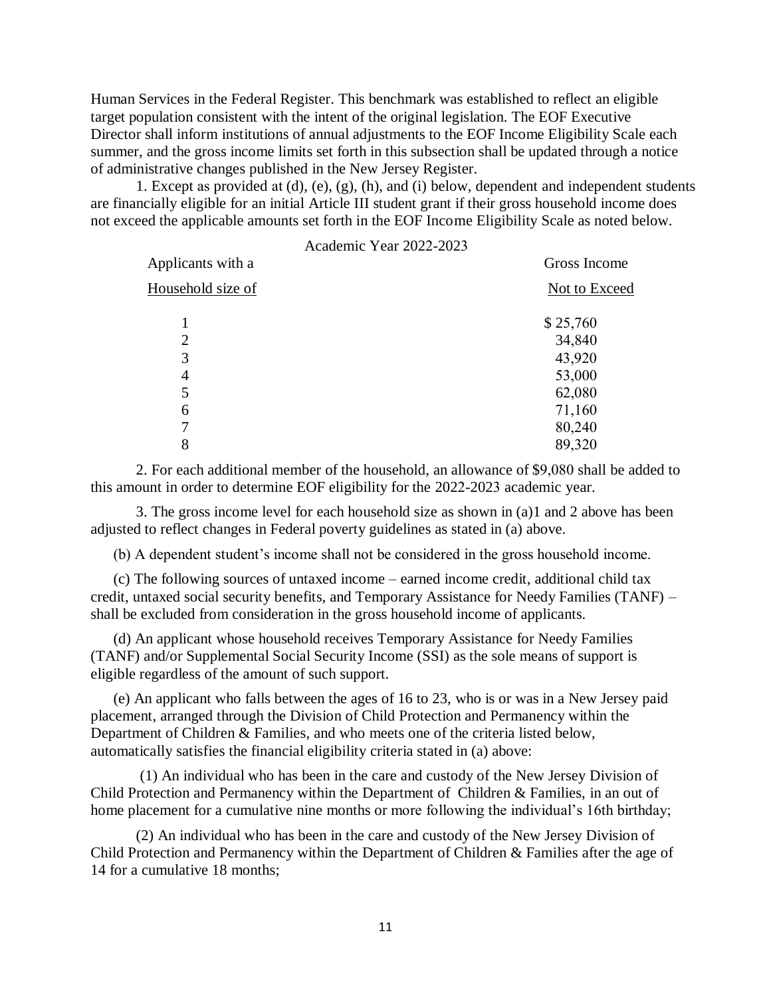Human Services in the Federal Register. This benchmark was established to reflect an eligible target population consistent with the intent of the original legislation. The EOF Executive Director shall inform institutions of annual adjustments to the EOF Income Eligibility Scale each summer, and the gross income limits set forth in this subsection shall be updated through a notice of administrative changes published in the New Jersey Register.

1. Except as provided at (d), (e), (g), (h), and (i) below, dependent and independent students are financially eligible for an initial Article III student grant if their gross household income does not exceed the applicable amounts set forth in the EOF Income Eligibility Scale as noted below.

|                   | Academic Year 2022-2023 |               |
|-------------------|-------------------------|---------------|
| Applicants with a |                         | Gross Income  |
| Household size of |                         | Not to Exceed |
|                   |                         | \$25,760      |
| $\overline{2}$    |                         | 34,840        |
| 3                 |                         | 43,920        |
| 4                 |                         | 53,000        |
| 5                 |                         | 62,080        |
| 6                 |                         | 71,160        |
| 7                 |                         | 80,240        |
| 8                 |                         | 89,320        |

2. For each additional member of the household, an allowance of \$9,080 shall be added to this amount in order to determine EOF eligibility for the 2022-2023 academic year.

3. The gross income level for each household size as shown in (a)1 and 2 above has been adjusted to reflect changes in Federal poverty guidelines as stated in (a) above.

(b) A dependent student's income shall not be considered in the gross household income.

(c) The following sources of untaxed income – earned income credit, additional child tax credit, untaxed social security benefits, and Temporary Assistance for Needy Families (TANF) – shall be excluded from consideration in the gross household income of applicants.

(d) An applicant whose household receives Temporary Assistance for Needy Families (TANF) and/or Supplemental Social Security Income (SSI) as the sole means of support is eligible regardless of the amount of such support.

(e) An applicant who falls between the ages of 16 to 23, who is or was in a New Jersey paid placement, arranged through the Division of Child Protection and Permanency within the Department of Children & Families, and who meets one of the criteria listed below, automatically satisfies the financial eligibility criteria stated in (a) above:

(1) An individual who has been in the care and custody of the New Jersey Division of Child Protection and Permanency within the Department of Children & Families, in an out of home placement for a cumulative nine months or more following the individual's 16th birthday;

(2) An individual who has been in the care and custody of the New Jersey Division of Child Protection and Permanency within the Department of Children & Families after the age of 14 for a cumulative 18 months;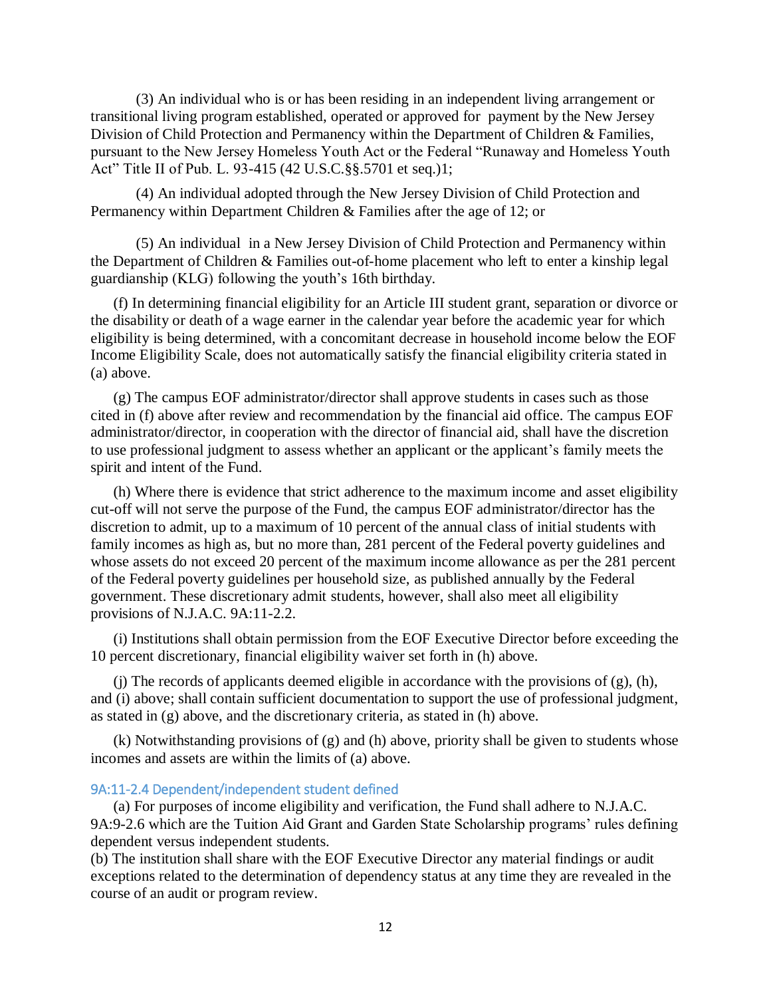(3) An individual who is or has been residing in an independent living arrangement or transitional living program established, operated or approved for payment by the New Jersey Division of Child Protection and Permanency within the Department of Children & Families, pursuant to the New Jersey Homeless Youth Act or the Federal "Runaway and Homeless Youth Act" Title II of Pub. L. 93-415 (42 U.S.C.§§.5701 et seq.)1;

(4) An individual adopted through the New Jersey Division of Child Protection and Permanency within Department Children & Families after the age of 12; or

(5) An individual in a New Jersey Division of Child Protection and Permanency within the Department of Children & Families out-of-home placement who left to enter a kinship legal guardianship (KLG) following the youth's 16th birthday.

(f) In determining financial eligibility for an Article III student grant, separation or divorce or the disability or death of a wage earner in the calendar year before the academic year for which eligibility is being determined, with a concomitant decrease in household income below the EOF Income Eligibility Scale, does not automatically satisfy the financial eligibility criteria stated in (a) above.

(g) The campus EOF administrator/director shall approve students in cases such as those cited in (f) above after review and recommendation by the financial aid office. The campus EOF administrator/director, in cooperation with the director of financial aid, shall have the discretion to use professional judgment to assess whether an applicant or the applicant's family meets the spirit and intent of the Fund.

(h) Where there is evidence that strict adherence to the maximum income and asset eligibility cut-off will not serve the purpose of the Fund, the campus EOF administrator/director has the discretion to admit, up to a maximum of 10 percent of the annual class of initial students with family incomes as high as, but no more than, 281 percent of the Federal poverty guidelines and whose assets do not exceed 20 percent of the maximum income allowance as per the 281 percent of the Federal poverty guidelines per household size, as published annually by the Federal government. These discretionary admit students, however, shall also meet all eligibility provisions of N.J.A.C. 9A:11-2.2.

(i) Institutions shall obtain permission from the EOF Executive Director before exceeding the 10 percent discretionary, financial eligibility waiver set forth in (h) above.

(j) The records of applicants deemed eligible in accordance with the provisions of  $(g)$ ,  $(h)$ , and (i) above; shall contain sufficient documentation to support the use of professional judgment, as stated in (g) above, and the discretionary criteria, as stated in (h) above.

(k) Notwithstanding provisions of (g) and (h) above, priority shall be given to students whose incomes and assets are within the limits of (a) above.

# <span id="page-11-0"></span>9A:11-2.4 Dependent/independent student defined

(a) For purposes of income eligibility and verification, the Fund shall adhere to N.J.A.C. 9A:9-2.6 which are the Tuition Aid Grant and Garden State Scholarship programs' rules defining dependent versus independent students.

(b) The institution shall share with the EOF Executive Director any material findings or audit exceptions related to the determination of dependency status at any time they are revealed in the course of an audit or program review.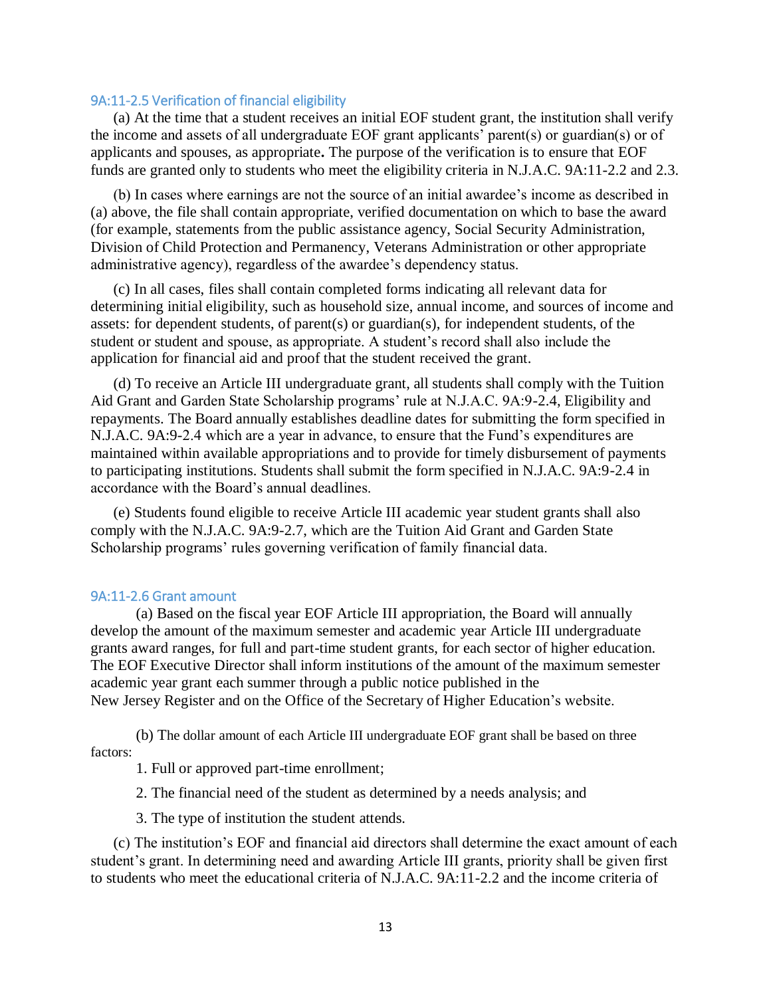### <span id="page-12-0"></span>9A:11-2.5 Verification of financial eligibility

(a) At the time that a student receives an initial EOF student grant, the institution shall verify the income and assets of all undergraduate EOF grant applicants' parent(s) or guardian(s) or of applicants and spouses, as appropriate**.** The purpose of the verification is to ensure that EOF funds are granted only to students who meet the eligibility criteria in N.J.A.C. 9A:11-2.2 and 2.3.

(b) In cases where earnings are not the source of an initial awardee's income as described in (a) above, the file shall contain appropriate, verified documentation on which to base the award (for example, statements from the public assistance agency, Social Security Administration, Division of Child Protection and Permanency, Veterans Administration or other appropriate administrative agency), regardless of the awardee's dependency status.

(c) In all cases, files shall contain completed forms indicating all relevant data for determining initial eligibility, such as household size, annual income, and sources of income and assets: for dependent students, of parent(s) or guardian(s), for independent students, of the student or student and spouse, as appropriate. A student's record shall also include the application for financial aid and proof that the student received the grant.

(d) To receive an Article III undergraduate grant, all students shall comply with the Tuition Aid Grant and Garden State Scholarship programs' rule at N.J.A.C. 9A:9-2.4, Eligibility and repayments. The Board annually establishes deadline dates for submitting the form specified in N.J.A.C. 9A:9-2.4 which are a year in advance, to ensure that the Fund's expenditures are maintained within available appropriations and to provide for timely disbursement of payments to participating institutions. Students shall submit the form specified in N.J.A.C. 9A:9-2.4 in accordance with the Board's annual deadlines.

(e) Students found eligible to receive Article III academic year student grants shall also comply with the N.J.A.C. 9A:9-2.7, which are the Tuition Aid Grant and Garden State Scholarship programs' rules governing verification of family financial data.

### <span id="page-12-1"></span>9A:11-2.6 Grant amount

(a) Based on the fiscal year EOF Article III appropriation, the Board will annually develop the amount of the maximum semester and academic year Article III undergraduate grants award ranges, for full and part-time student grants, for each sector of higher education. The EOF Executive Director shall inform institutions of the amount of the maximum semester academic year grant each summer through a public notice published in the New Jersey Register and on the Office of the Secretary of Higher Education's website.

(b) The dollar amount of each Article III undergraduate EOF grant shall be based on three factors:

1. Full or approved part-time enrollment;

2. The financial need of the student as determined by a needs analysis; and

3. The type of institution the student attends.

(c) The institution's EOF and financial aid directors shall determine the exact amount of each student's grant. In determining need and awarding Article III grants, priority shall be given first to students who meet the educational criteria of N.J.A.C. 9A:11-2.2 and the income criteria of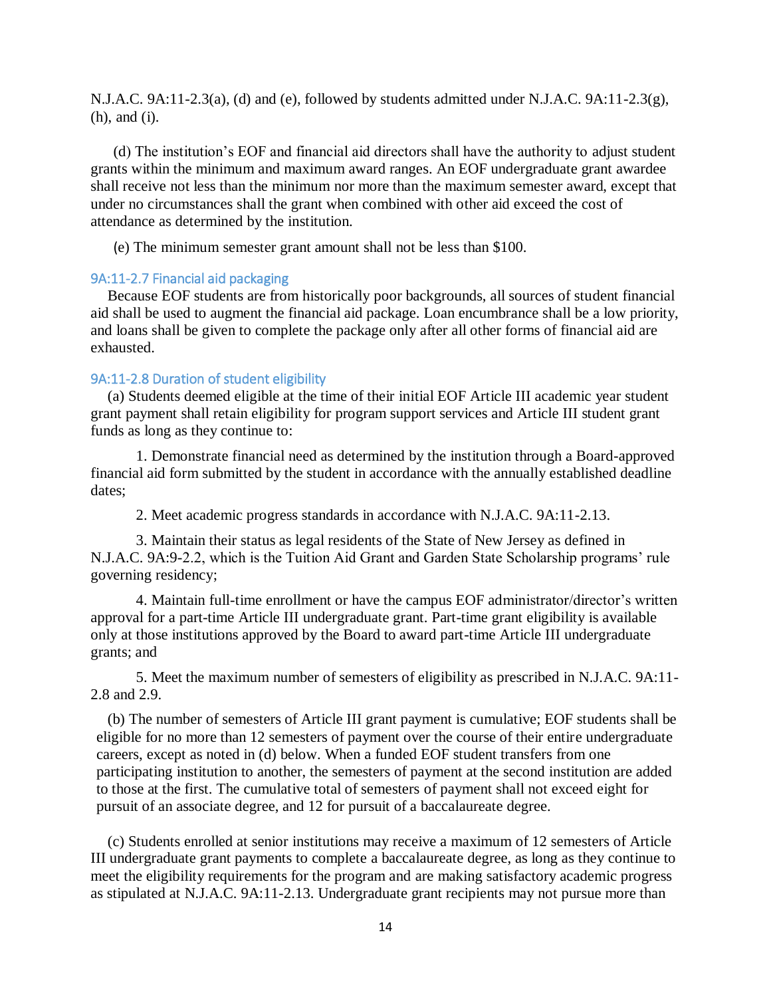N.J.A.C. 9A:11-2.3(a), (d) and (e), followed by students admitted under N.J.A.C. 9A:11-2.3(g), (h), and (i).

(d) The institution's EOF and financial aid directors shall have the authority to adjust student grants within the minimum and maximum award ranges. An EOF undergraduate grant awardee shall receive not less than the minimum nor more than the maximum semester award, except that under no circumstances shall the grant when combined with other aid exceed the cost of attendance as determined by the institution.

(e) The minimum semester grant amount shall not be less than \$100.

# <span id="page-13-0"></span>9A:11-2.7 Financial aid packaging

Because EOF students are from historically poor backgrounds, all sources of student financial aid shall be used to augment the financial aid package. Loan encumbrance shall be a low priority, and loans shall be given to complete the package only after all other forms of financial aid are exhausted.

### <span id="page-13-1"></span>9A:11-2.8 Duration of student eligibility

(a) Students deemed eligible at the time of their initial EOF Article III academic year student grant payment shall retain eligibility for program support services and Article III student grant funds as long as they continue to:

1. Demonstrate financial need as determined by the institution through a Board-approved financial aid form submitted by the student in accordance with the annually established deadline dates;

2. Meet academic progress standards in accordance with N.J.A.C. 9A:11-2.13.

3. Maintain their status as legal residents of the State of New Jersey as defined in N.J.A.C. 9A:9-2.2, which is the Tuition Aid Grant and Garden State Scholarship programs' rule governing residency;

4. Maintain full-time enrollment or have the campus EOF administrator/director's written approval for a part-time Article III undergraduate grant. Part-time grant eligibility is available only at those institutions approved by the Board to award part-time Article III undergraduate grants; and

5. Meet the maximum number of semesters of eligibility as prescribed in N.J.A.C. 9A:11- 2.8 and 2.9.

(b) The number of semesters of Article III grant payment is cumulative; EOF students shall be eligible for no more than 12 semesters of payment over the course of their entire undergraduate careers, except as noted in (d) below. When a funded EOF student transfers from one participating institution to another, the semesters of payment at the second institution are added to those at the first. The cumulative total of semesters of payment shall not exceed eight for pursuit of an associate degree, and 12 for pursuit of a baccalaureate degree.

(c) Students enrolled at senior institutions may receive a maximum of 12 semesters of Article III undergraduate grant payments to complete a baccalaureate degree, as long as they continue to meet the eligibility requirements for the program and are making satisfactory academic progress as stipulated at N.J.A.C. 9A:11-2.13. Undergraduate grant recipients may not pursue more than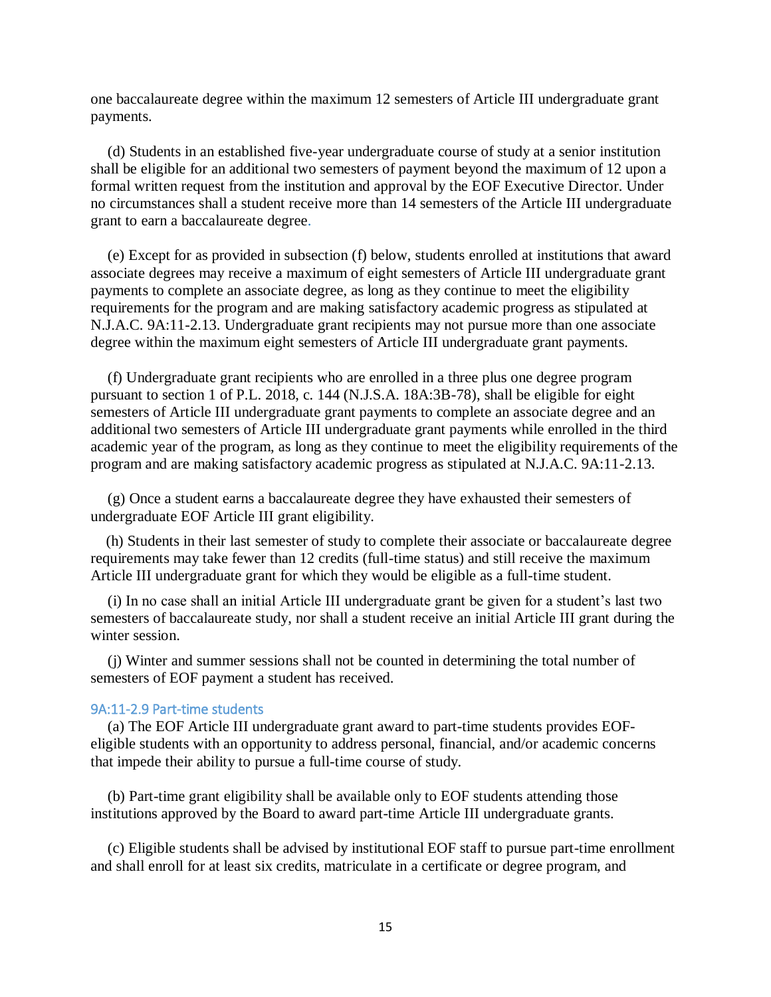one baccalaureate degree within the maximum 12 semesters of Article III undergraduate grant payments.

(d) Students in an established five-year undergraduate course of study at a senior institution shall be eligible for an additional two semesters of payment beyond the maximum of 12 upon a formal written request from the institution and approval by the EOF Executive Director. Under no circumstances shall a student receive more than 14 semesters of the Article III undergraduate grant to earn a baccalaureate degree.

(e) Except for as provided in subsection (f) below, students enrolled at institutions that award associate degrees may receive a maximum of eight semesters of Article III undergraduate grant payments to complete an associate degree, as long as they continue to meet the eligibility requirements for the program and are making satisfactory academic progress as stipulated at N.J.A.C. 9A:11-2.13. Undergraduate grant recipients may not pursue more than one associate degree within the maximum eight semesters of Article III undergraduate grant payments.

(f) Undergraduate grant recipients who are enrolled in a three plus one degree program pursuant to section 1 of P.L. 2018, c. 144 (N.J.S.A. 18A:3B-78), shall be eligible for eight semesters of Article III undergraduate grant payments to complete an associate degree and an additional two semesters of Article III undergraduate grant payments while enrolled in the third academic year of the program, as long as they continue to meet the eligibility requirements of the program and are making satisfactory academic progress as stipulated at N.J.A.C. 9A:11-2.13.

(g) Once a student earns a baccalaureate degree they have exhausted their semesters of undergraduate EOF Article III grant eligibility.

(h) Students in their last semester of study to complete their associate or baccalaureate degree requirements may take fewer than 12 credits (full-time status) and still receive the maximum Article III undergraduate grant for which they would be eligible as a full-time student.

(i) In no case shall an initial Article III undergraduate grant be given for a student's last two semesters of baccalaureate study, nor shall a student receive an initial Article III grant during the winter session.

(j) Winter and summer sessions shall not be counted in determining the total number of semesters of EOF payment a student has received.

### <span id="page-14-0"></span>9A:11-2.9 Part-time students

(a) The EOF Article III undergraduate grant award to part-time students provides EOFeligible students with an opportunity to address personal, financial, and/or academic concerns that impede their ability to pursue a full-time course of study.

(b) Part-time grant eligibility shall be available only to EOF students attending those institutions approved by the Board to award part-time Article III undergraduate grants.

(c) Eligible students shall be advised by institutional EOF staff to pursue part-time enrollment and shall enroll for at least six credits, matriculate in a certificate or degree program, and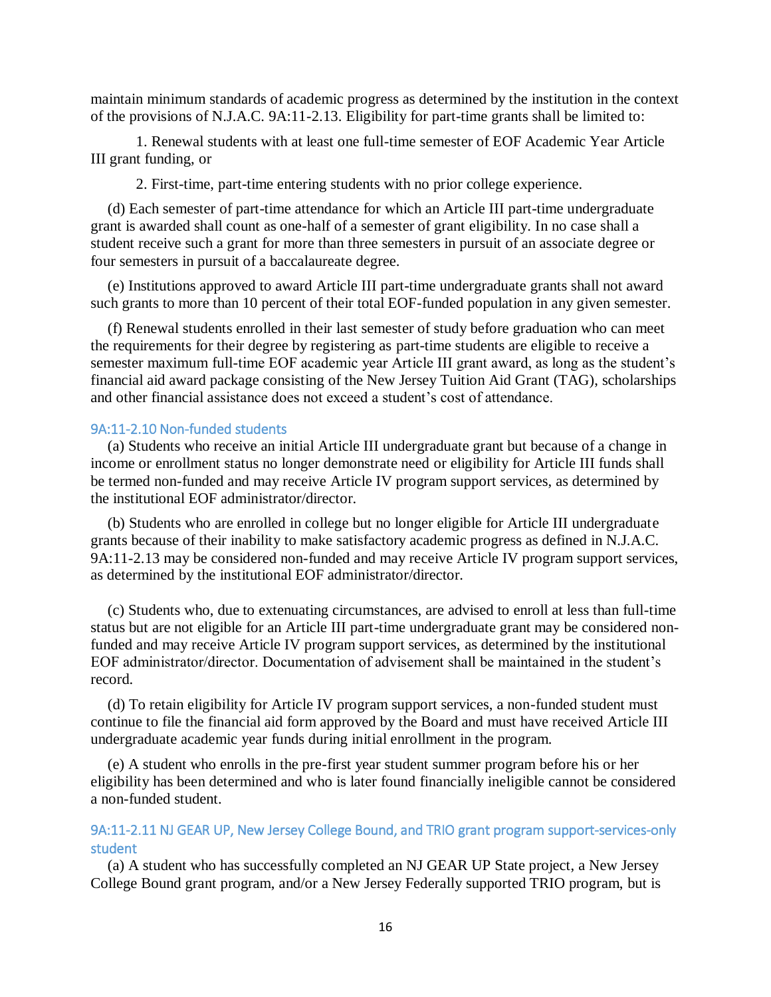maintain minimum standards of academic progress as determined by the institution in the context of the provisions of N.J.A.C. 9A:11-2.13. Eligibility for part-time grants shall be limited to:

1. Renewal students with at least one full-time semester of EOF Academic Year Article III grant funding, or

2. First-time, part-time entering students with no prior college experience.

(d) Each semester of part-time attendance for which an Article III part-time undergraduate grant is awarded shall count as one-half of a semester of grant eligibility. In no case shall a student receive such a grant for more than three semesters in pursuit of an associate degree or four semesters in pursuit of a baccalaureate degree.

(e) Institutions approved to award Article III part-time undergraduate grants shall not award such grants to more than 10 percent of their total EOF-funded population in any given semester.

(f) Renewal students enrolled in their last semester of study before graduation who can meet the requirements for their degree by registering as part-time students are eligible to receive a semester maximum full-time EOF academic year Article III grant award, as long as the student's financial aid award package consisting of the New Jersey Tuition Aid Grant (TAG), scholarships and other financial assistance does not exceed a student's cost of attendance.

### <span id="page-15-0"></span>9A:11-2.10 Non-funded students

(a) Students who receive an initial Article III undergraduate grant but because of a change in income or enrollment status no longer demonstrate need or eligibility for Article III funds shall be termed non-funded and may receive Article IV program support services, as determined by the institutional EOF administrator/director.

(b) Students who are enrolled in college but no longer eligible for Article III undergraduate grants because of their inability to make satisfactory academic progress as defined in N.J.A.C. 9A:11-2.13 may be considered non-funded and may receive Article IV program support services, as determined by the institutional EOF administrator/director.

(c) Students who, due to extenuating circumstances, are advised to enroll at less than full-time status but are not eligible for an Article III part-time undergraduate grant may be considered nonfunded and may receive Article IV program support services, as determined by the institutional EOF administrator/director. Documentation of advisement shall be maintained in the student's record.

(d) To retain eligibility for Article IV program support services, a non-funded student must continue to file the financial aid form approved by the Board and must have received Article III undergraduate academic year funds during initial enrollment in the program.

(e) A student who enrolls in the pre-first year student summer program before his or her eligibility has been determined and who is later found financially ineligible cannot be considered a non-funded student.

# <span id="page-15-1"></span>9A:11-2.11 NJ GEAR UP, New Jersey College Bound, and TRIO grant program support-services-only student

(a) A student who has successfully completed an NJ GEAR UP State project, a New Jersey College Bound grant program, and/or a New Jersey Federally supported TRIO program, but is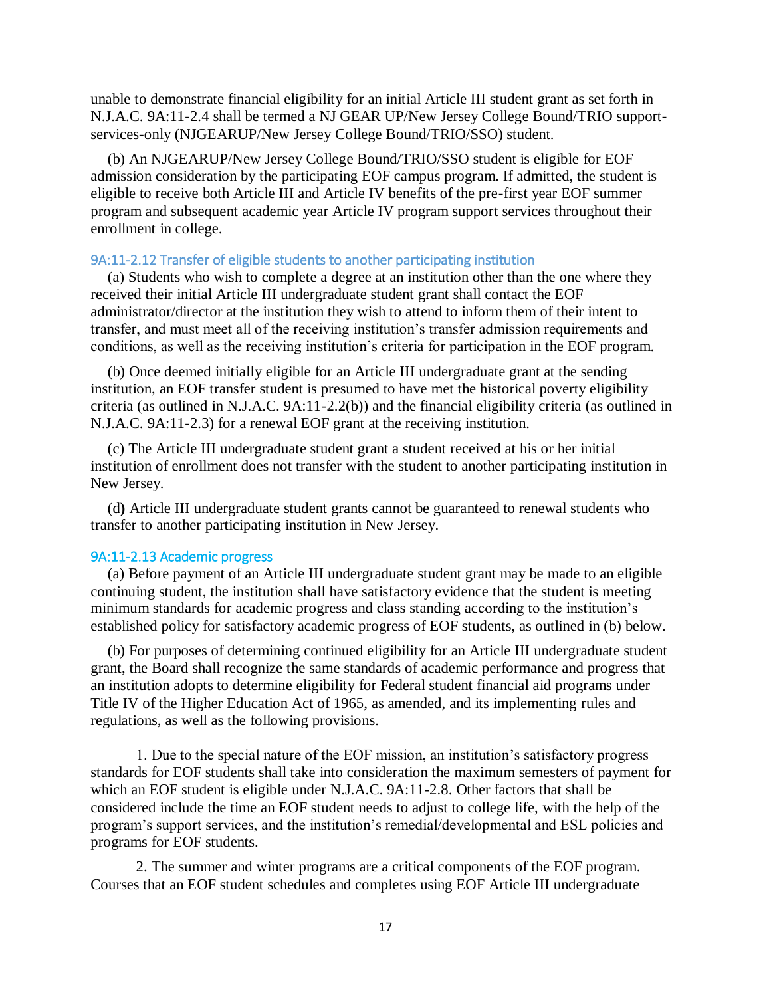unable to demonstrate financial eligibility for an initial Article III student grant as set forth in N.J.A.C. 9A:11-2.4 shall be termed a NJ GEAR UP/New Jersey College Bound/TRIO supportservices-only (NJGEARUP/New Jersey College Bound/TRIO/SSO) student.

(b) An NJGEARUP/New Jersey College Bound/TRIO/SSO student is eligible for EOF admission consideration by the participating EOF campus program. If admitted, the student is eligible to receive both Article III and Article IV benefits of the pre-first year EOF summer program and subsequent academic year Article IV program support services throughout their enrollment in college.

# <span id="page-16-0"></span>9A:11-2.12 Transfer of eligible students to another participating institution

(a) Students who wish to complete a degree at an institution other than the one where they received their initial Article III undergraduate student grant shall contact the EOF administrator/director at the institution they wish to attend to inform them of their intent to transfer, and must meet all of the receiving institution's transfer admission requirements and conditions, as well as the receiving institution's criteria for participation in the EOF program.

(b) Once deemed initially eligible for an Article III undergraduate grant at the sending institution, an EOF transfer student is presumed to have met the historical poverty eligibility criteria (as outlined in N.J.A.C. 9A:11-2.2(b)) and the financial eligibility criteria (as outlined in N.J.A.C. 9A:11-2.3) for a renewal EOF grant at the receiving institution.

(c) The Article III undergraduate student grant a student received at his or her initial institution of enrollment does not transfer with the student to another participating institution in New Jersey.

(d**)** Article III undergraduate student grants cannot be guaranteed to renewal students who transfer to another participating institution in New Jersey.

# <span id="page-16-1"></span>9A:11-2.13 Academic progress

(a) Before payment of an Article III undergraduate student grant may be made to an eligible continuing student, the institution shall have satisfactory evidence that the student is meeting minimum standards for academic progress and class standing according to the institution's established policy for satisfactory academic progress of EOF students, as outlined in (b) below.

(b) For purposes of determining continued eligibility for an Article III undergraduate student grant, the Board shall recognize the same standards of academic performance and progress that an institution adopts to determine eligibility for Federal student financial aid programs under Title IV of the Higher Education Act of 1965, as amended, and its implementing rules and regulations, as well as the following provisions.

1. Due to the special nature of the EOF mission, an institution's satisfactory progress standards for EOF students shall take into consideration the maximum semesters of payment for which an EOF student is eligible under N.J.A.C. 9A:11-2.8. Other factors that shall be considered include the time an EOF student needs to adjust to college life, with the help of the program's support services, and the institution's remedial/developmental and ESL policies and programs for EOF students.

2. The summer and winter programs are a critical components of the EOF program. Courses that an EOF student schedules and completes using EOF Article III undergraduate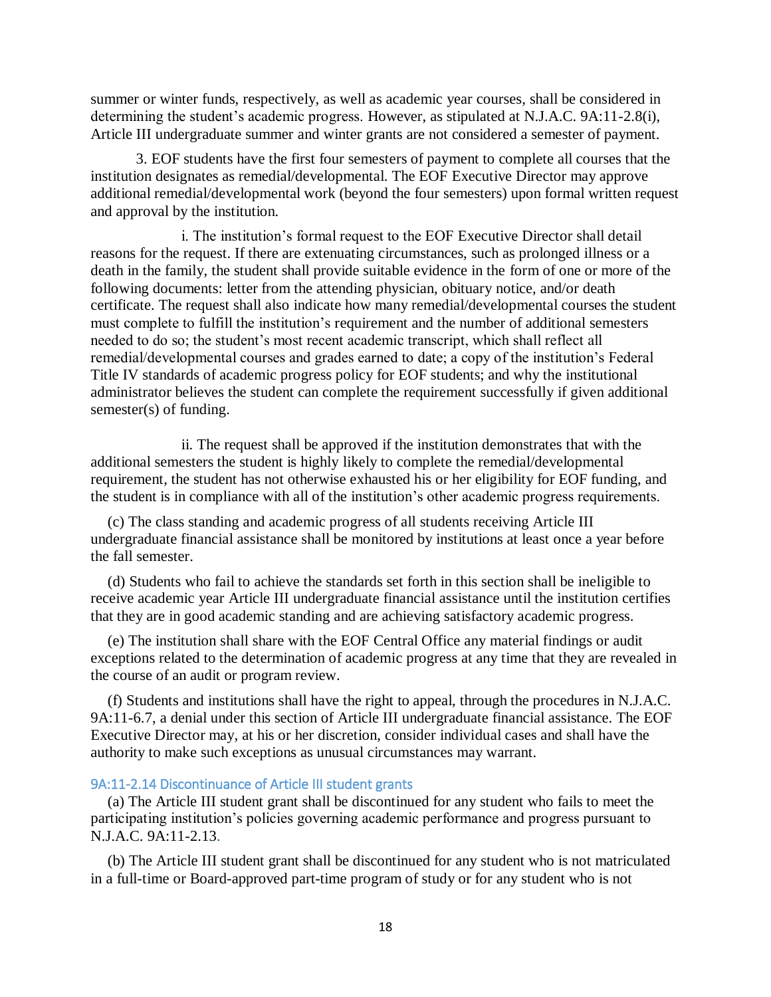summer or winter funds, respectively, as well as academic year courses, shall be considered in determining the student's academic progress. However, as stipulated at N.J.A.C. 9A:11-2.8(i), Article III undergraduate summer and winter grants are not considered a semester of payment.

3. EOF students have the first four semesters of payment to complete all courses that the institution designates as remedial/developmental. The EOF Executive Director may approve additional remedial/developmental work (beyond the four semesters) upon formal written request and approval by the institution.

i. The institution's formal request to the EOF Executive Director shall detail reasons for the request. If there are extenuating circumstances, such as prolonged illness or a death in the family, the student shall provide suitable evidence in the form of one or more of the following documents: letter from the attending physician, obituary notice, and/or death certificate. The request shall also indicate how many remedial/developmental courses the student must complete to fulfill the institution's requirement and the number of additional semesters needed to do so; the student's most recent academic transcript, which shall reflect all remedial/developmental courses and grades earned to date; a copy of the institution's Federal Title IV standards of academic progress policy for EOF students; and why the institutional administrator believes the student can complete the requirement successfully if given additional semester(s) of funding.

ii. The request shall be approved if the institution demonstrates that with the additional semesters the student is highly likely to complete the remedial/developmental requirement, the student has not otherwise exhausted his or her eligibility for EOF funding, and the student is in compliance with all of the institution's other academic progress requirements.

(c) The class standing and academic progress of all students receiving Article III undergraduate financial assistance shall be monitored by institutions at least once a year before the fall semester.

(d) Students who fail to achieve the standards set forth in this section shall be ineligible to receive academic year Article III undergraduate financial assistance until the institution certifies that they are in good academic standing and are achieving satisfactory academic progress.

(e) The institution shall share with the EOF Central Office any material findings or audit exceptions related to the determination of academic progress at any time that they are revealed in the course of an audit or program review.

(f) Students and institutions shall have the right to appeal, through the procedures in N.J.A.C. 9A:11-6.7, a denial under this section of Article III undergraduate financial assistance. The EOF Executive Director may, at his or her discretion, consider individual cases and shall have the authority to make such exceptions as unusual circumstances may warrant.

### 9A:11-2.14 Discontinuance of Article III student grants

(a) The Article III student grant shall be discontinued for any student who fails to meet the participating institution's policies governing academic performance and progress pursuant to N.J.A.C. 9A:11-2.13.

(b) The Article III student grant shall be discontinued for any student who is not matriculated in a full-time or Board-approved part-time program of study or for any student who is not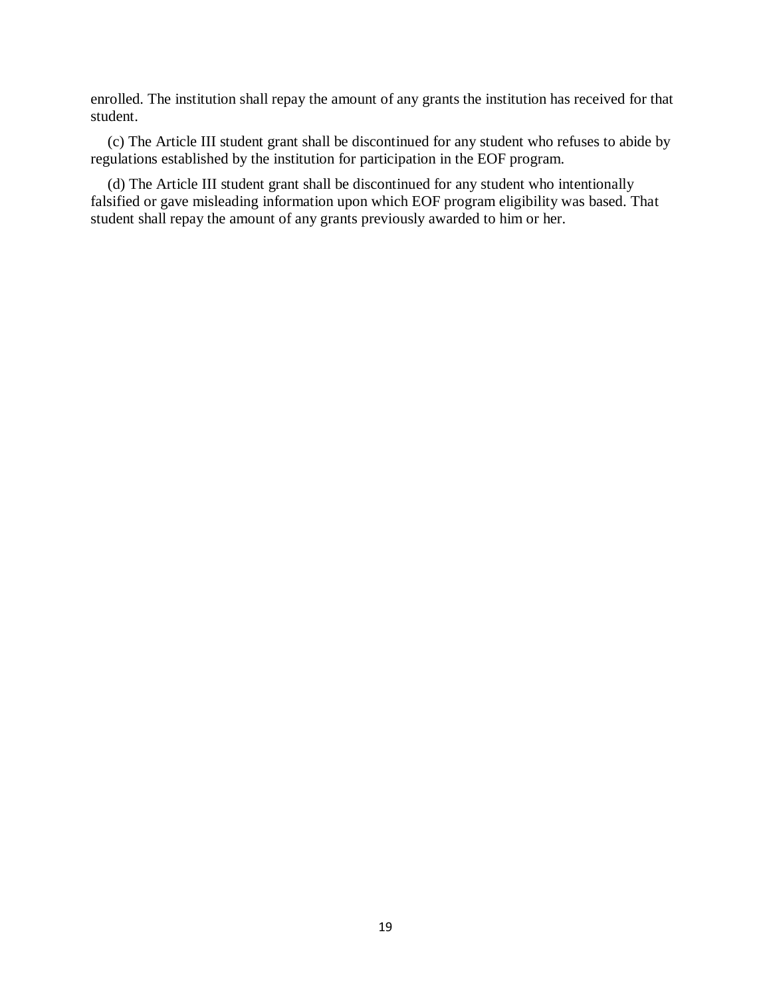enrolled. The institution shall repay the amount of any grants the institution has received for that student.

(c) The Article III student grant shall be discontinued for any student who refuses to abide by regulations established by the institution for participation in the EOF program.

(d) The Article III student grant shall be discontinued for any student who intentionally falsified or gave misleading information upon which EOF program eligibility was based. That student shall repay the amount of any grants previously awarded to him or her.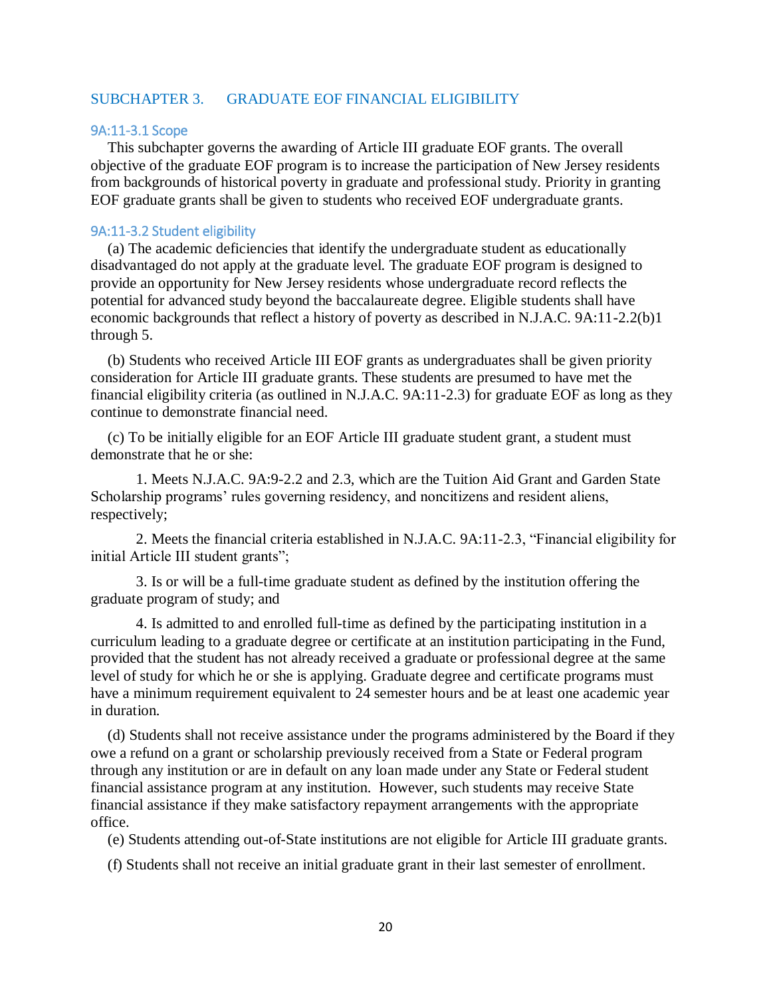# SUBCHAPTER 3. GRADUATE EOF FINANCIAL ELIGIBILITY

#### <span id="page-19-0"></span>9A:11-3.1 Scope

This subchapter governs the awarding of Article III graduate EOF grants. The overall objective of the graduate EOF program is to increase the participation of New Jersey residents from backgrounds of historical poverty in graduate and professional study. Priority in granting EOF graduate grants shall be given to students who received EOF undergraduate grants.

# <span id="page-19-1"></span>9A:11-3.2 Student eligibility

(a) The academic deficiencies that identify the undergraduate student as educationally disadvantaged do not apply at the graduate level. The graduate EOF program is designed to provide an opportunity for New Jersey residents whose undergraduate record reflects the potential for advanced study beyond the baccalaureate degree. Eligible students shall have economic backgrounds that reflect a history of poverty as described in N.J.A.C. 9A:11-2.2(b)1 through 5.

(b) Students who received Article III EOF grants as undergraduates shall be given priority consideration for Article III graduate grants. These students are presumed to have met the financial eligibility criteria (as outlined in N.J.A.C. 9A:11-2.3) for graduate EOF as long as they continue to demonstrate financial need.

(c) To be initially eligible for an EOF Article III graduate student grant, a student must demonstrate that he or she:

1. Meets N.J.A.C. 9A:9-2.2 and 2.3, which are the Tuition Aid Grant and Garden State Scholarship programs' rules governing residency, and noncitizens and resident aliens, respectively;

2. Meets the financial criteria established in N.J.A.C. 9A:11-2.3, "Financial eligibility for initial Article III student grants";

3. Is or will be a full-time graduate student as defined by the institution offering the graduate program of study; and

4. Is admitted to and enrolled full-time as defined by the participating institution in a curriculum leading to a graduate degree or certificate at an institution participating in the Fund, provided that the student has not already received a graduate or professional degree at the same level of study for which he or she is applying. Graduate degree and certificate programs must have a minimum requirement equivalent to 24 semester hours and be at least one academic year in duration.

(d) Students shall not receive assistance under the programs administered by the Board if they owe a refund on a grant or scholarship previously received from a State or Federal program through any institution or are in default on any loan made under any State or Federal student financial assistance program at any institution. However, such students may receive State financial assistance if they make satisfactory repayment arrangements with the appropriate office.

(e) Students attending out-of-State institutions are not eligible for Article III graduate grants.

(f) Students shall not receive an initial graduate grant in their last semester of enrollment.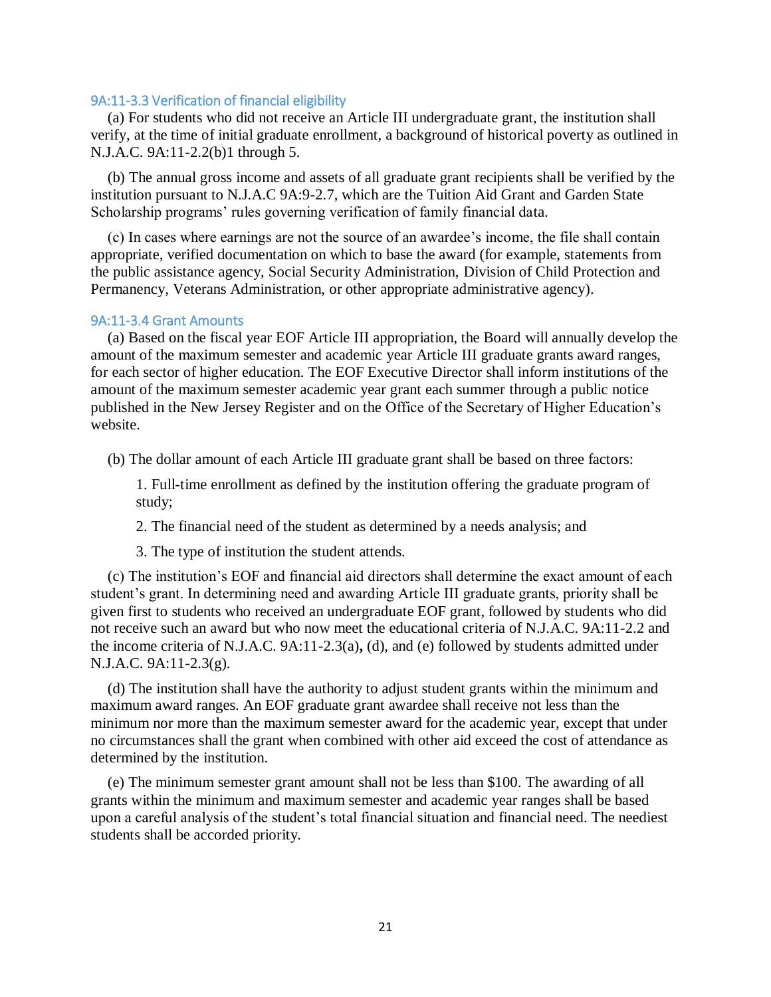### <span id="page-20-0"></span>9A:11-3.3 Verification of financial eligibility

(a) For students who did not receive an Article III undergraduate grant, the institution shall verify, at the time of initial graduate enrollment, a background of historical poverty as outlined in N.J.A.C. 9A:11-2.2(b)1 through 5.

(b) The annual gross income and assets of all graduate grant recipients shall be verified by the institution pursuant to N.J.A.C 9A:9-2.7, which are the Tuition Aid Grant and Garden State Scholarship programs' rules governing verification of family financial data.

(c) In cases where earnings are not the source of an awardee's income, the file shall contain appropriate, verified documentation on which to base the award (for example, statements from the public assistance agency, Social Security Administration, Division of Child Protection and Permanency, Veterans Administration, or other appropriate administrative agency).

# <span id="page-20-1"></span>9A:11-3.4 Grant Amounts

(a) Based on the fiscal year EOF Article III appropriation, the Board will annually develop the amount of the maximum semester and academic year Article III graduate grants award ranges, for each sector of higher education. The EOF Executive Director shall inform institutions of the amount of the maximum semester academic year grant each summer through a public notice published in the New Jersey Register and on the Office of the Secretary of Higher Education's website.

(b) The dollar amount of each Article III graduate grant shall be based on three factors:

1. Full-time enrollment as defined by the institution offering the graduate program of study;

2. The financial need of the student as determined by a needs analysis; and

3. The type of institution the student attends.

(c) The institution's EOF and financial aid directors shall determine the exact amount of each student's grant. In determining need and awarding Article III graduate grants, priority shall be given first to students who received an undergraduate EOF grant, followed by students who did not receive such an award but who now meet the educational criteria of N.J.A.C. 9A:11-2.2 and the income criteria of N.J.A.C. 9A:11-2.3(a)**,** (d), and (e) followed by students admitted under N.J.A.C. 9A:11-2.3(g).

(d) The institution shall have the authority to adjust student grants within the minimum and maximum award ranges. An EOF graduate grant awardee shall receive not less than the minimum nor more than the maximum semester award for the academic year, except that under no circumstances shall the grant when combined with other aid exceed the cost of attendance as determined by the institution.

(e) The minimum semester grant amount shall not be less than \$100. The awarding of all grants within the minimum and maximum semester and academic year ranges shall be based upon a careful analysis of the student's total financial situation and financial need. The neediest students shall be accorded priority.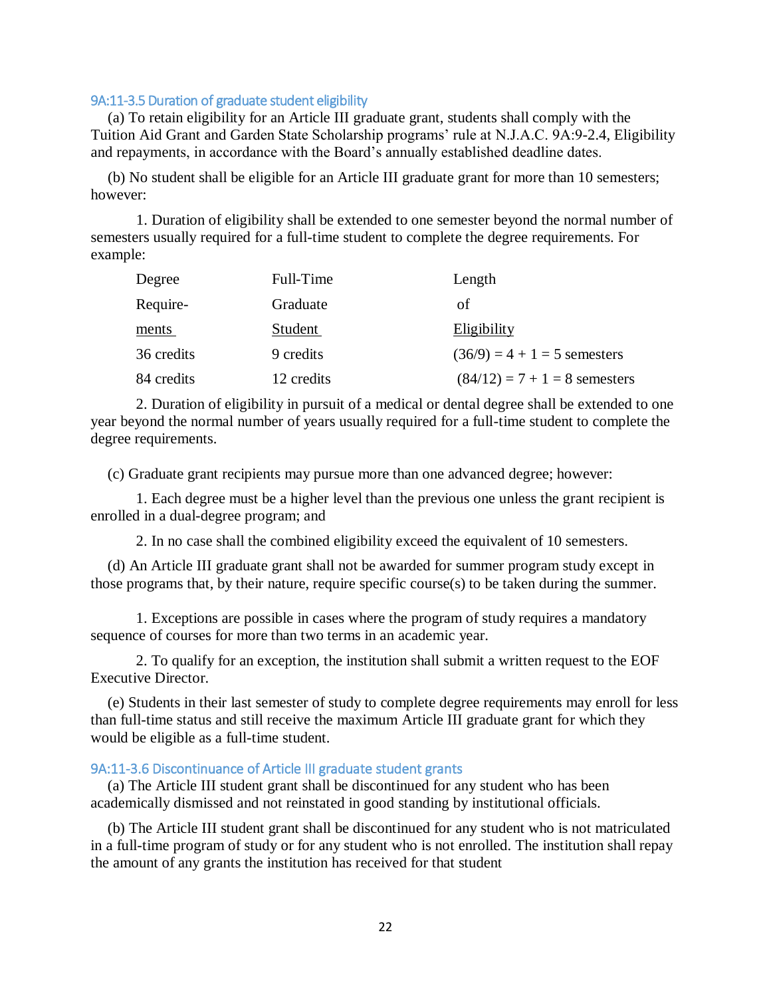# <span id="page-21-0"></span>9A:11-3.5 Duration of graduate student eligibility

(a) To retain eligibility for an Article III graduate grant, students shall comply with the Tuition Aid Grant and Garden State Scholarship programs' rule at N.J.A.C. 9A:9-2.4, Eligibility and repayments, in accordance with the Board's annually established deadline dates.

(b) No student shall be eligible for an Article III graduate grant for more than 10 semesters; however:

1. Duration of eligibility shall be extended to one semester beyond the normal number of semesters usually required for a full-time student to complete the degree requirements. For example:

| Degree     | Full-Time  | Length                          |
|------------|------------|---------------------------------|
| Require-   | Graduate   | οf                              |
| ments      | Student    | Eligibility                     |
| 36 credits | 9 credits  | $(36/9) = 4 + 1 = 5$ semesters  |
| 84 credits | 12 credits | $(84/12) = 7 + 1 = 8$ semesters |

2. Duration of eligibility in pursuit of a medical or dental degree shall be extended to one year beyond the normal number of years usually required for a full-time student to complete the degree requirements.

(c) Graduate grant recipients may pursue more than one advanced degree; however:

1. Each degree must be a higher level than the previous one unless the grant recipient is enrolled in a dual-degree program; and

2. In no case shall the combined eligibility exceed the equivalent of 10 semesters.

(d) An Article III graduate grant shall not be awarded for summer program study except in those programs that, by their nature, require specific course(s) to be taken during the summer.

1. Exceptions are possible in cases where the program of study requires a mandatory sequence of courses for more than two terms in an academic year.

2. To qualify for an exception, the institution shall submit a written request to the EOF Executive Director.

(e) Students in their last semester of study to complete degree requirements may enroll for less than full-time status and still receive the maximum Article III graduate grant for which they would be eligible as a full-time student.

### <span id="page-21-1"></span>9A:11-3.6 Discontinuance of Article III graduate student grants

(a) The Article III student grant shall be discontinued for any student who has been academically dismissed and not reinstated in good standing by institutional officials.

(b) The Article III student grant shall be discontinued for any student who is not matriculated in a full-time program of study or for any student who is not enrolled. The institution shall repay the amount of any grants the institution has received for that student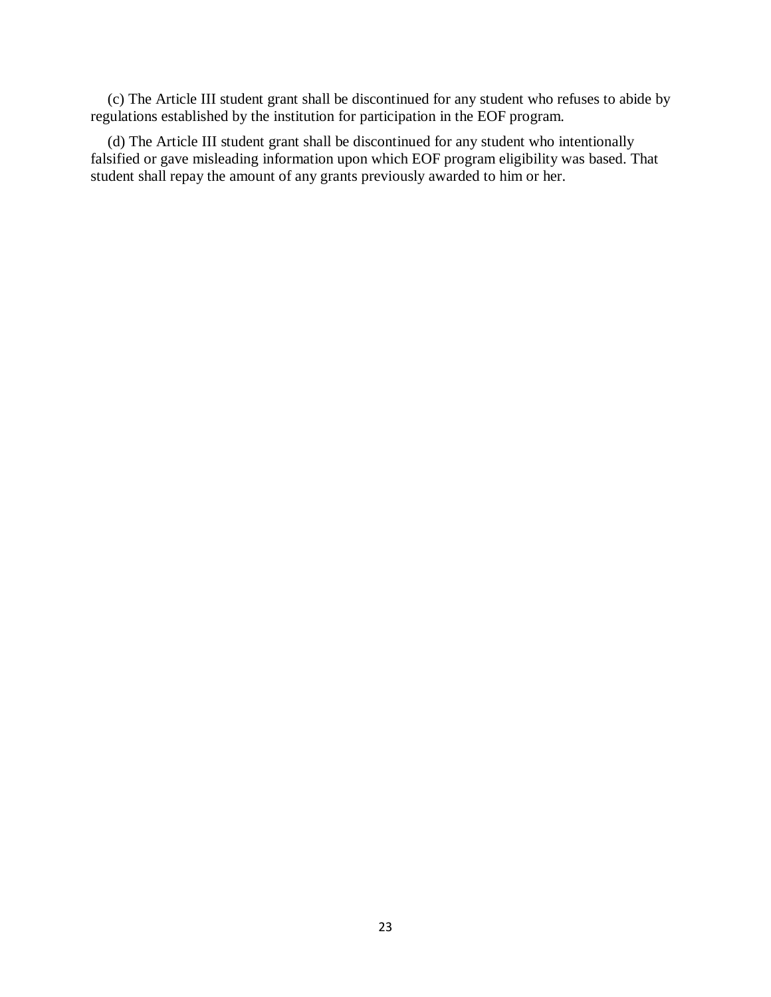(c) The Article III student grant shall be discontinued for any student who refuses to abide by regulations established by the institution for participation in the EOF program.

(d) The Article III student grant shall be discontinued for any student who intentionally falsified or gave misleading information upon which EOF program eligibility was based. That student shall repay the amount of any grants previously awarded to him or her.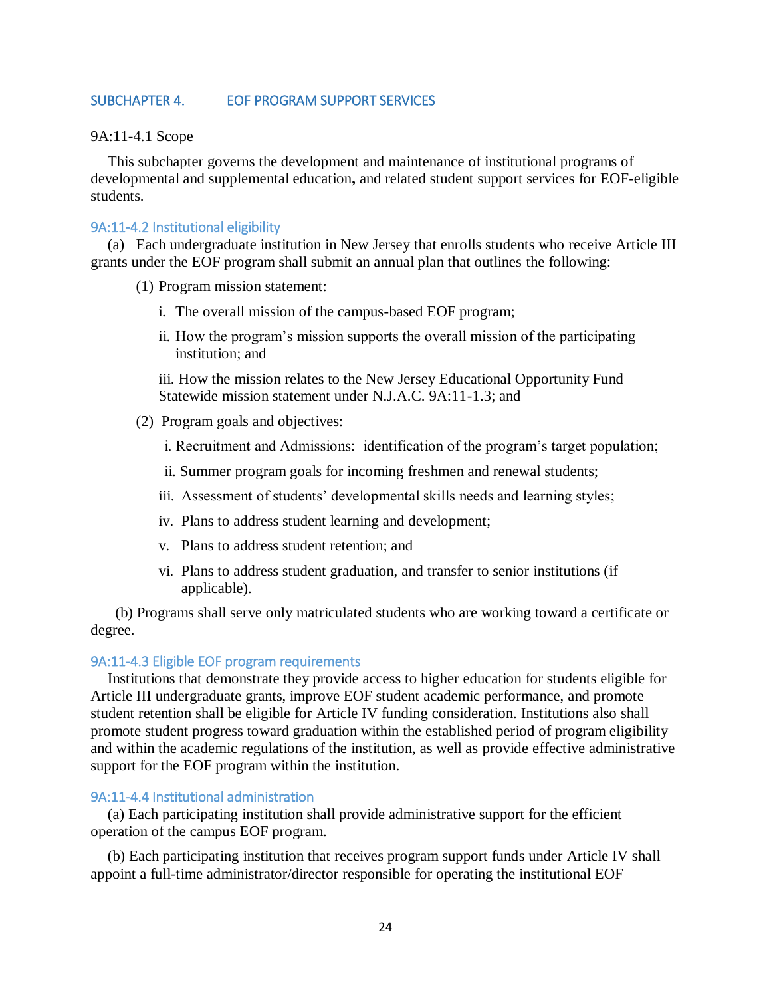# <span id="page-23-0"></span>SUBCHAPTER 4. EOF PROGRAM SUPPORT SERVICES

9A:11-4.1 Scope

This subchapter governs the development and maintenance of institutional programs of developmental and supplemental education**,** and related student support services for EOF-eligible students.

#### <span id="page-23-1"></span>9A:11-4.2 Institutional eligibility

(a) Each undergraduate institution in New Jersey that enrolls students who receive Article III grants under the EOF program shall submit an annual plan that outlines the following:

(1) Program mission statement:

- i. The overall mission of the campus-based EOF program;
- ii. How the program's mission supports the overall mission of the participating institution; and

iii. How the mission relates to the New Jersey Educational Opportunity Fund Statewide mission statement under N.J.A.C. 9A:11-1.3; and

- (2) Program goals and objectives:
	- i. Recruitment and Admissions: identification of the program's target population;
	- ii. Summer program goals for incoming freshmen and renewal students;
	- iii. Assessment of students' developmental skills needs and learning styles;
	- iv. Plans to address student learning and development;
	- v. Plans to address student retention; and
	- vi. Plans to address student graduation, and transfer to senior institutions (if applicable).

(b) Programs shall serve only matriculated students who are working toward a certificate or degree.

# <span id="page-23-2"></span>9A:11-4.3 Eligible EOF program requirements

Institutions that demonstrate they provide access to higher education for students eligible for Article III undergraduate grants, improve EOF student academic performance, and promote student retention shall be eligible for Article IV funding consideration. Institutions also shall promote student progress toward graduation within the established period of program eligibility and within the academic regulations of the institution, as well as provide effective administrative support for the EOF program within the institution.

# <span id="page-23-3"></span>9A:11-4.4 Institutional administration

(a) Each participating institution shall provide administrative support for the efficient operation of the campus EOF program.

(b) Each participating institution that receives program support funds under Article IV shall appoint a full-time administrator/director responsible for operating the institutional EOF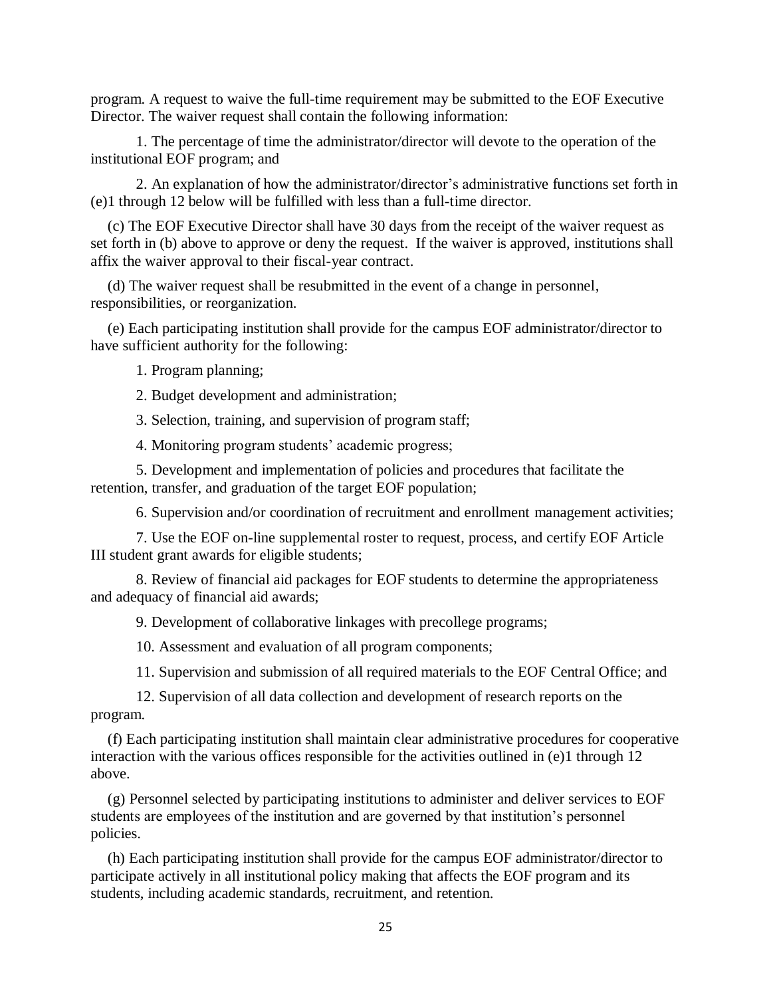program. A request to waive the full-time requirement may be submitted to the EOF Executive Director. The waiver request shall contain the following information:

1. The percentage of time the administrator/director will devote to the operation of the institutional EOF program; and

2. An explanation of how the administrator/director's administrative functions set forth in (e)1 through 12 below will be fulfilled with less than a full-time director.

(c) The EOF Executive Director shall have 30 days from the receipt of the waiver request as set forth in (b) above to approve or deny the request. If the waiver is approved, institutions shall affix the waiver approval to their fiscal-year contract.

(d) The waiver request shall be resubmitted in the event of a change in personnel, responsibilities, or reorganization.

(e) Each participating institution shall provide for the campus EOF administrator/director to have sufficient authority for the following:

1. Program planning;

2. Budget development and administration;

3. Selection, training, and supervision of program staff;

4. Monitoring program students' academic progress;

5. Development and implementation of policies and procedures that facilitate the retention, transfer, and graduation of the target EOF population;

6. Supervision and/or coordination of recruitment and enrollment management activities;

7. Use the EOF on-line supplemental roster to request, process, and certify EOF Article III student grant awards for eligible students;

8. Review of financial aid packages for EOF students to determine the appropriateness and adequacy of financial aid awards;

9. Development of collaborative linkages with precollege programs;

10. Assessment and evaluation of all program components;

11. Supervision and submission of all required materials to the EOF Central Office; and

12. Supervision of all data collection and development of research reports on the program.

(f) Each participating institution shall maintain clear administrative procedures for cooperative interaction with the various offices responsible for the activities outlined in (e)1 through 12 above.

(g) Personnel selected by participating institutions to administer and deliver services to EOF students are employees of the institution and are governed by that institution's personnel policies.

(h) Each participating institution shall provide for the campus EOF administrator/director to participate actively in all institutional policy making that affects the EOF program and its students, including academic standards, recruitment, and retention.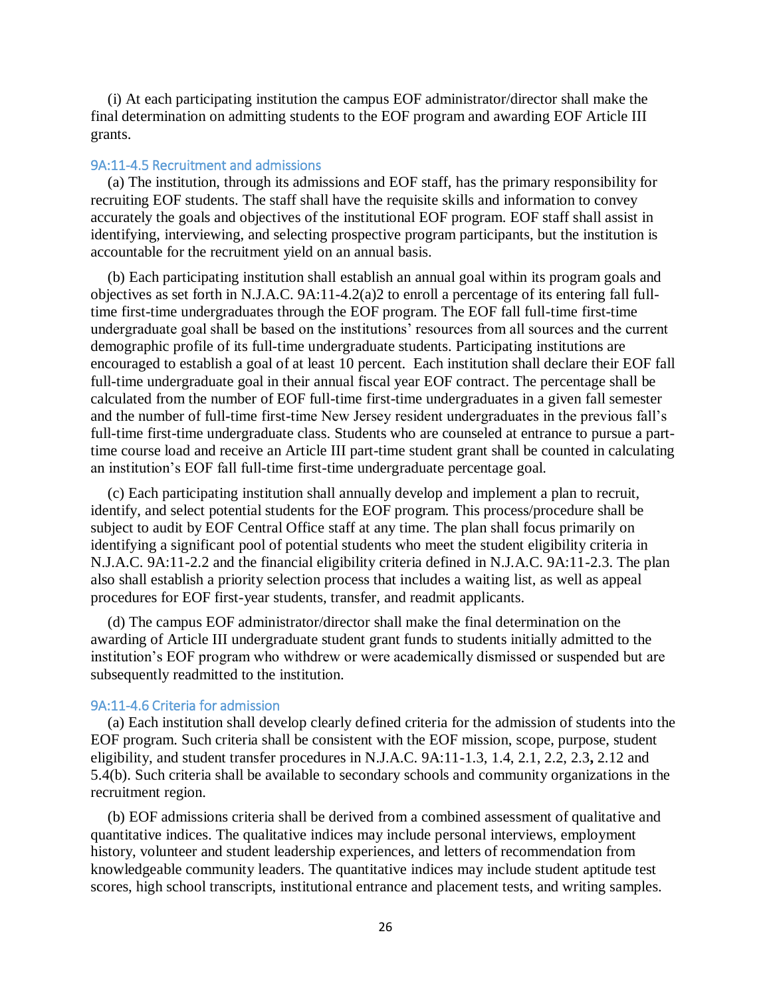(i) At each participating institution the campus EOF administrator/director shall make the final determination on admitting students to the EOF program and awarding EOF Article III grants.

#### <span id="page-25-0"></span>9A:11-4.5 Recruitment and admissions

(a) The institution, through its admissions and EOF staff, has the primary responsibility for recruiting EOF students. The staff shall have the requisite skills and information to convey accurately the goals and objectives of the institutional EOF program. EOF staff shall assist in identifying, interviewing, and selecting prospective program participants, but the institution is accountable for the recruitment yield on an annual basis.

(b) Each participating institution shall establish an annual goal within its program goals and objectives as set forth in N.J.A.C. 9A:11-4.2(a)2 to enroll a percentage of its entering fall fulltime first-time undergraduates through the EOF program. The EOF fall full-time first-time undergraduate goal shall be based on the institutions' resources from all sources and the current demographic profile of its full-time undergraduate students. Participating institutions are encouraged to establish a goal of at least 10 percent. Each institution shall declare their EOF fall full-time undergraduate goal in their annual fiscal year EOF contract. The percentage shall be calculated from the number of EOF full-time first-time undergraduates in a given fall semester and the number of full-time first-time New Jersey resident undergraduates in the previous fall's full-time first-time undergraduate class. Students who are counseled at entrance to pursue a parttime course load and receive an Article III part-time student grant shall be counted in calculating an institution's EOF fall full-time first-time undergraduate percentage goal.

(c) Each participating institution shall annually develop and implement a plan to recruit, identify, and select potential students for the EOF program. This process/procedure shall be subject to audit by EOF Central Office staff at any time. The plan shall focus primarily on identifying a significant pool of potential students who meet the student eligibility criteria in N.J.A.C. 9A:11-2.2 and the financial eligibility criteria defined in N.J.A.C. 9A:11-2.3. The plan also shall establish a priority selection process that includes a waiting list, as well as appeal procedures for EOF first-year students, transfer, and readmit applicants.

(d) The campus EOF administrator/director shall make the final determination on the awarding of Article III undergraduate student grant funds to students initially admitted to the institution's EOF program who withdrew or were academically dismissed or suspended but are subsequently readmitted to the institution.

# <span id="page-25-1"></span>9A:11-4.6 Criteria for admission

(a) Each institution shall develop clearly defined criteria for the admission of students into the EOF program. Such criteria shall be consistent with the EOF mission, scope, purpose, student eligibility, and student transfer procedures in N.J.A.C. 9A:11-1.3, 1.4, 2.1, 2.2, 2.3**,** 2.12 and 5.4(b). Such criteria shall be available to secondary schools and community organizations in the recruitment region.

(b) EOF admissions criteria shall be derived from a combined assessment of qualitative and quantitative indices. The qualitative indices may include personal interviews, employment history, volunteer and student leadership experiences, and letters of recommendation from knowledgeable community leaders. The quantitative indices may include student aptitude test scores, high school transcripts, institutional entrance and placement tests, and writing samples.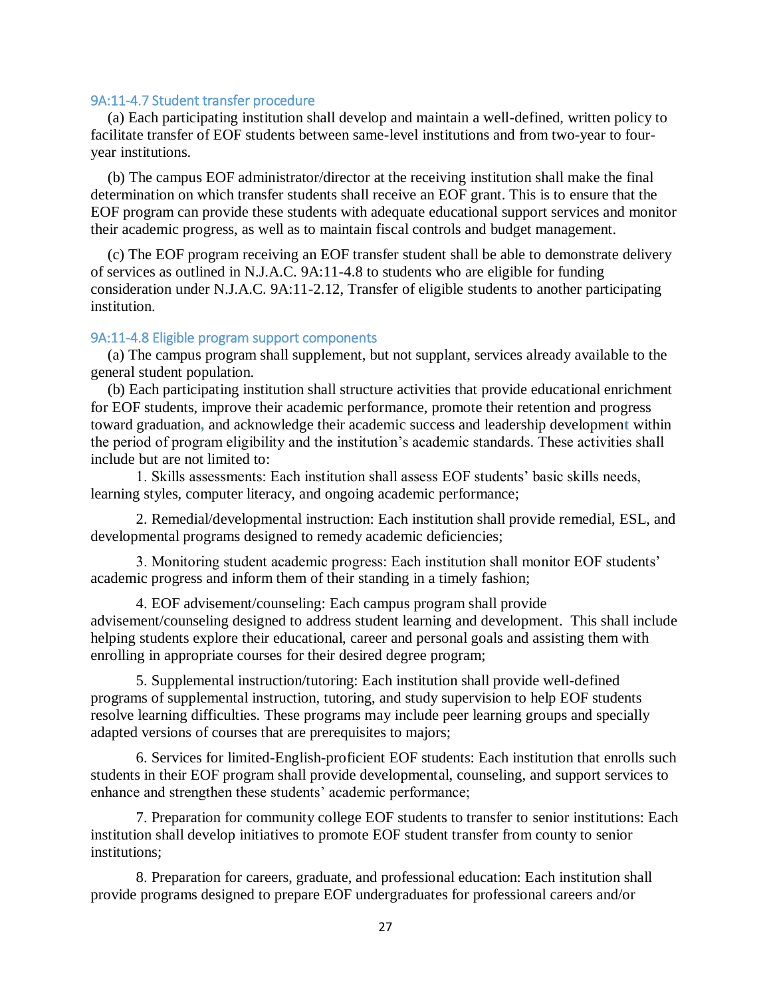### <span id="page-26-0"></span>9A:11-4.7 Student transfer procedure

(a) Each participating institution shall develop and maintain a well-defined, written policy to facilitate transfer of EOF students between same-level institutions and from two-year to fouryear institutions.

(b) The campus EOF administrator/director at the receiving institution shall make the final determination on which transfer students shall receive an EOF grant. This is to ensure that the EOF program can provide these students with adequate educational support services and monitor their academic progress, as well as to maintain fiscal controls and budget management.

(c) The EOF program receiving an EOF transfer student shall be able to demonstrate delivery of services as outlined in N.J.A.C. 9A:11-4.8 to students who are eligible for funding consideration under N.J.A.C. 9A:11-2.12, Transfer of eligible students to another participating institution.

#### <span id="page-26-1"></span>9A:11-4.8 Eligible program support components

(a) The campus program shall supplement, but not supplant, services already available to the general student population.

(b) Each participating institution shall structure activities that provide educational enrichment for EOF students, improve their academic performance, promote their retention and progress toward graduation**,** and acknowledge their academic success and leadership developmen**t** within the period of program eligibility and the institution's academic standards. These activities shall include but are not limited to:

1. Skills assessments: Each institution shall assess EOF students' basic skills needs, learning styles, computer literacy, and ongoing academic performance;

2. Remedial/developmental instruction: Each institution shall provide remedial, ESL, and developmental programs designed to remedy academic deficiencies;

3. Monitoring student academic progress: Each institution shall monitor EOF students' academic progress and inform them of their standing in a timely fashion;

4. EOF advisement/counseling: Each campus program shall provide advisement/counseling designed to address student learning and development. This shall include helping students explore their educational, career and personal goals and assisting them with enrolling in appropriate courses for their desired degree program;

5. Supplemental instruction/tutoring: Each institution shall provide well-defined programs of supplemental instruction, tutoring, and study supervision to help EOF students resolve learning difficulties. These programs may include peer learning groups and specially adapted versions of courses that are prerequisites to majors;

6. Services for limited-English-proficient EOF students: Each institution that enrolls such students in their EOF program shall provide developmental, counseling, and support services to enhance and strengthen these students' academic performance;

7. Preparation for community college EOF students to transfer to senior institutions: Each institution shall develop initiatives to promote EOF student transfer from county to senior institutions;

8. Preparation for careers, graduate, and professional education: Each institution shall provide programs designed to prepare EOF undergraduates for professional careers and/or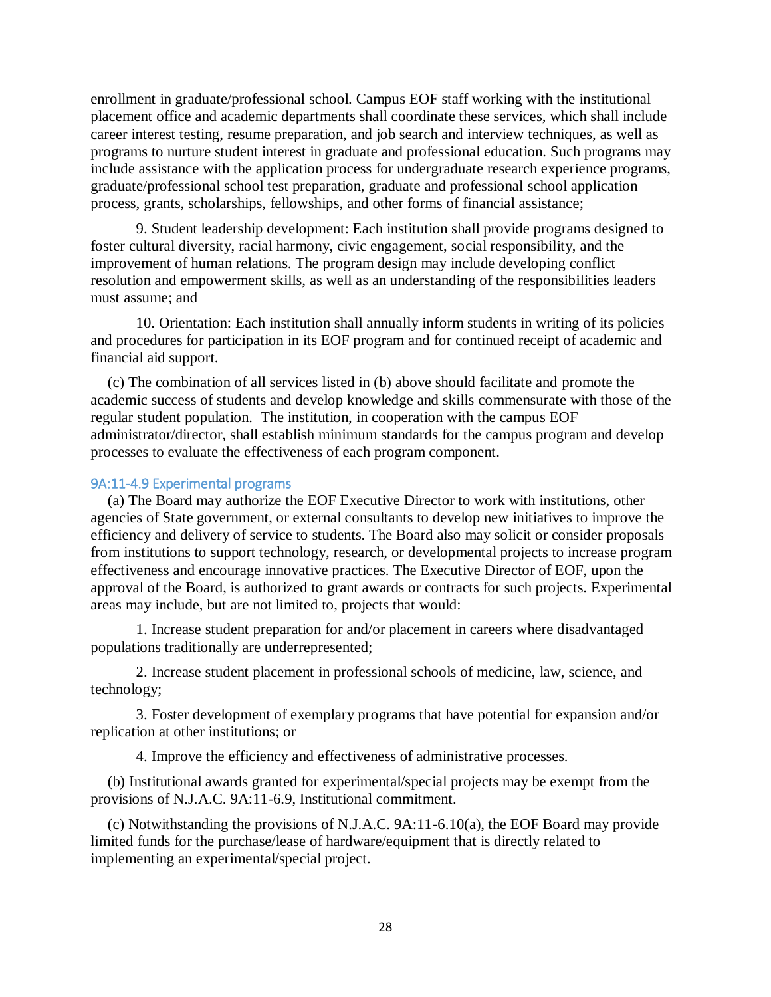enrollment in graduate/professional school. Campus EOF staff working with the institutional placement office and academic departments shall coordinate these services, which shall include career interest testing, resume preparation, and job search and interview techniques, as well as programs to nurture student interest in graduate and professional education. Such programs may include assistance with the application process for undergraduate research experience programs, graduate/professional school test preparation, graduate and professional school application process, grants, scholarships, fellowships, and other forms of financial assistance;

9. Student leadership development: Each institution shall provide programs designed to foster cultural diversity, racial harmony, civic engagement, social responsibility, and the improvement of human relations. The program design may include developing conflict resolution and empowerment skills, as well as an understanding of the responsibilities leaders must assume; and

10. Orientation: Each institution shall annually inform students in writing of its policies and procedures for participation in its EOF program and for continued receipt of academic and financial aid support.

(c) The combination of all services listed in (b) above should facilitate and promote the academic success of students and develop knowledge and skills commensurate with those of the regular student population. The institution, in cooperation with the campus EOF administrator/director, shall establish minimum standards for the campus program and develop processes to evaluate the effectiveness of each program component.

### <span id="page-27-0"></span>9A:11-4.9 Experimental programs

(a) The Board may authorize the EOF Executive Director to work with institutions, other agencies of State government, or external consultants to develop new initiatives to improve the efficiency and delivery of service to students. The Board also may solicit or consider proposals from institutions to support technology, research, or developmental projects to increase program effectiveness and encourage innovative practices. The Executive Director of EOF, upon the approval of the Board, is authorized to grant awards or contracts for such projects. Experimental areas may include, but are not limited to, projects that would:

1. Increase student preparation for and/or placement in careers where disadvantaged populations traditionally are underrepresented;

2. Increase student placement in professional schools of medicine, law, science, and technology;

3. Foster development of exemplary programs that have potential for expansion and/or replication at other institutions; or

4. Improve the efficiency and effectiveness of administrative processes.

(b) Institutional awards granted for experimental/special projects may be exempt from the provisions of N.J.A.C. 9A:11-6.9, Institutional commitment.

(c) Notwithstanding the provisions of N.J.A.C. 9A:11-6.10(a), the EOF Board may provide limited funds for the purchase/lease of hardware/equipment that is directly related to implementing an experimental/special project.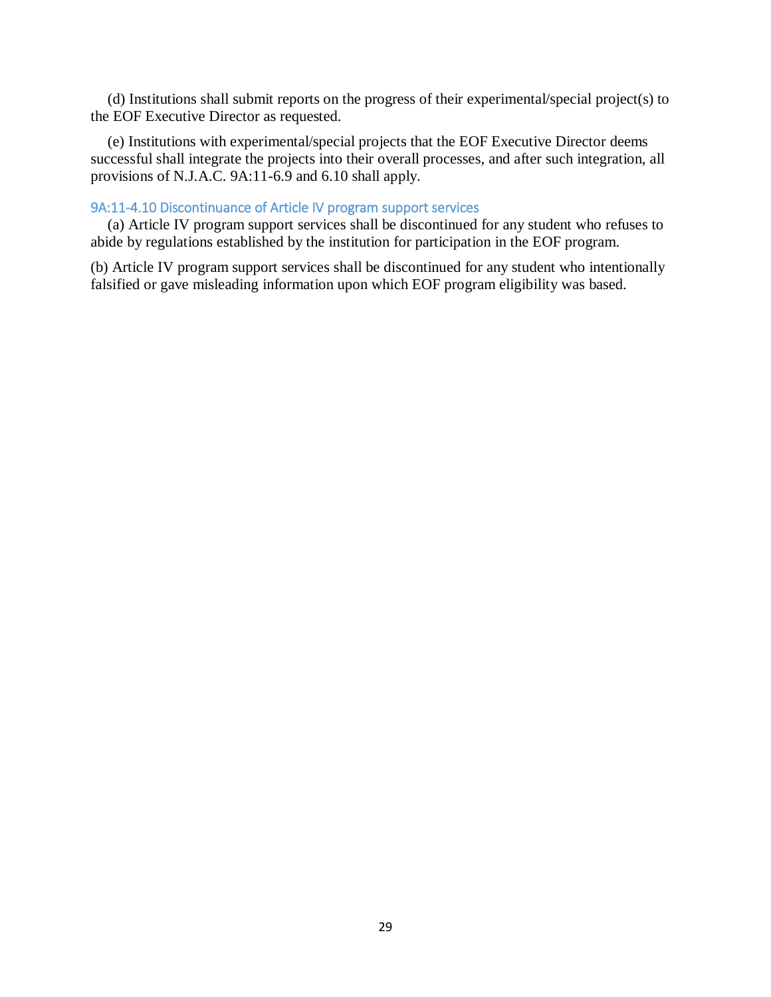(d) Institutions shall submit reports on the progress of their experimental/special project(s) to the EOF Executive Director as requested.

(e) Institutions with experimental/special projects that the EOF Executive Director deems successful shall integrate the projects into their overall processes, and after such integration, all provisions of N.J.A.C. 9A:11-6.9 and 6.10 shall apply.

# <span id="page-28-0"></span>9A:11-4.10 Discontinuance of Article IV program support services

(a) Article IV program support services shall be discontinued for any student who refuses to abide by regulations established by the institution for participation in the EOF program.

(b) Article IV program support services shall be discontinued for any student who intentionally falsified or gave misleading information upon which EOF program eligibility was based.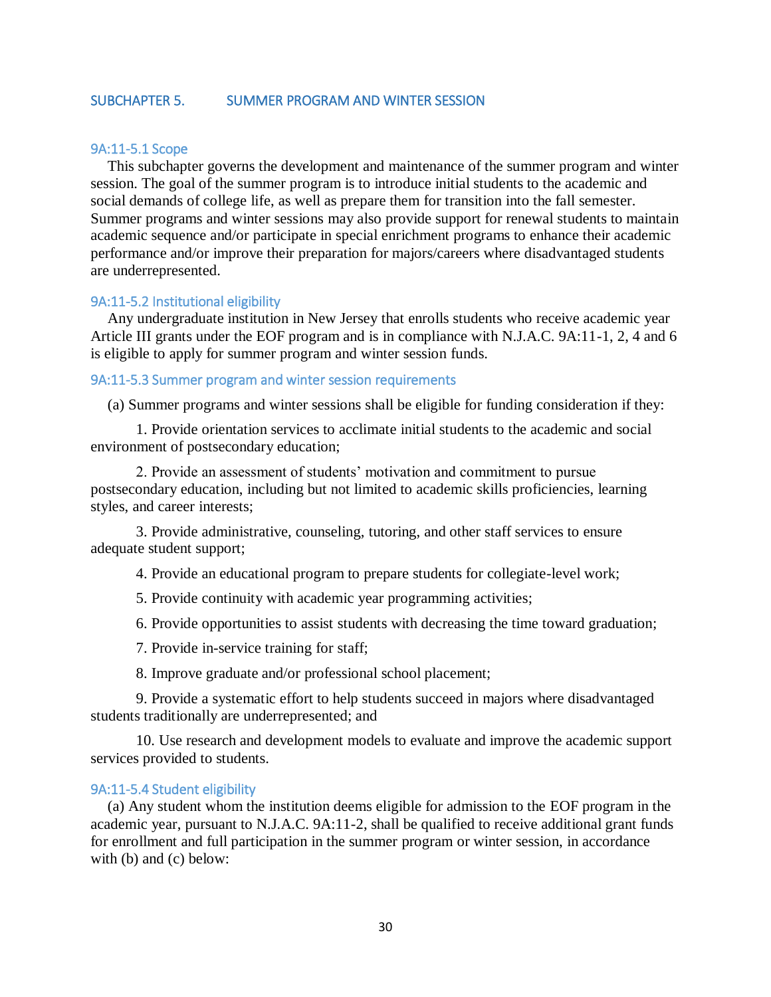### <span id="page-29-0"></span>SUBCHAPTER 5. SUMMER PROGRAM AND WINTER SESSION

#### <span id="page-29-1"></span>9A:11-5.1 Scope

This subchapter governs the development and maintenance of the summer program and winter session. The goal of the summer program is to introduce initial students to the academic and social demands of college life, as well as prepare them for transition into the fall semester. Summer programs and winter sessions may also provide support for renewal students to maintain academic sequence and/or participate in special enrichment programs to enhance their academic performance and/or improve their preparation for majors/careers where disadvantaged students are underrepresented.

#### <span id="page-29-2"></span>9A:11-5.2 Institutional eligibility

Any undergraduate institution in New Jersey that enrolls students who receive academic year Article III grants under the EOF program and is in compliance with N.J.A.C. 9A:11-1, 2, 4 and 6 is eligible to apply for summer program and winter session funds.

#### 9A:11-5.3 Summer program and winter session requirements

(a) Summer programs and winter sessions shall be eligible for funding consideration if they:

1. Provide orientation services to acclimate initial students to the academic and social environment of postsecondary education;

2. Provide an assessment of students' motivation and commitment to pursue postsecondary education, including but not limited to academic skills proficiencies, learning styles, and career interests;

3. Provide administrative, counseling, tutoring, and other staff services to ensure adequate student support;

4. Provide an educational program to prepare students for collegiate-level work;

5. Provide continuity with academic year programming activities;

6. Provide opportunities to assist students with decreasing the time toward graduation;

7. Provide in-service training for staff;

8. Improve graduate and/or professional school placement;

9. Provide a systematic effort to help students succeed in majors where disadvantaged students traditionally are underrepresented; and

10. Use research and development models to evaluate and improve the academic support services provided to students.

# <span id="page-29-3"></span>9A:11-5.4 Student eligibility

(a) Any student whom the institution deems eligible for admission to the EOF program in the academic year, pursuant to N.J.A.C. 9A:11-2, shall be qualified to receive additional grant funds for enrollment and full participation in the summer program or winter session, in accordance with (b) and (c) below: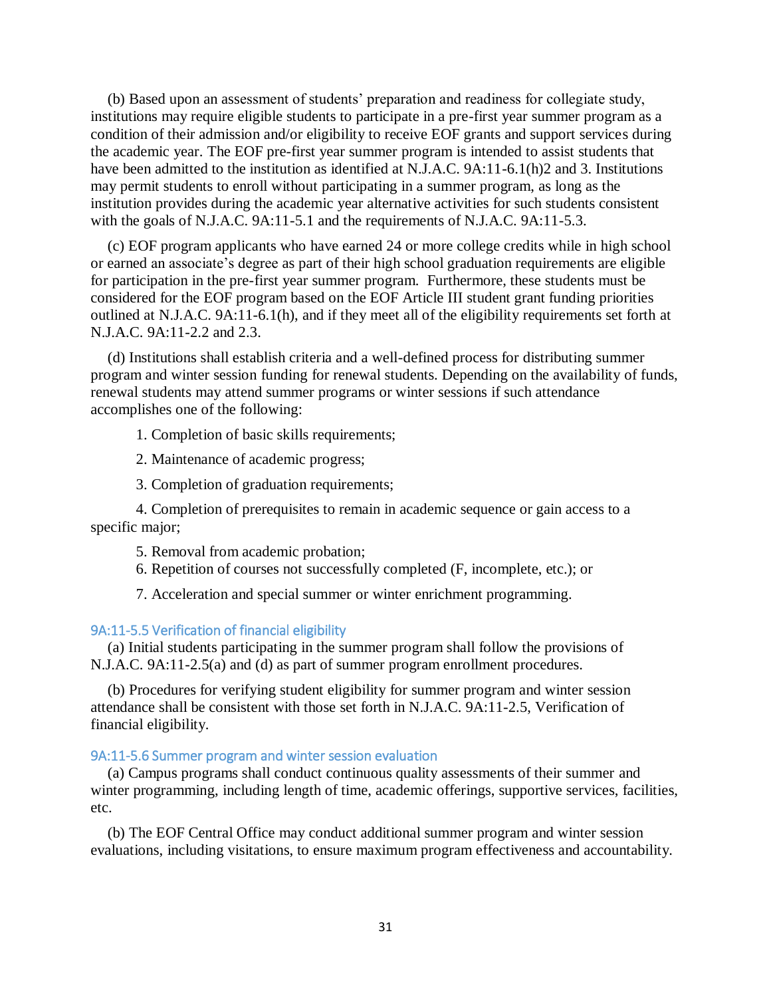(b) Based upon an assessment of students' preparation and readiness for collegiate study, institutions may require eligible students to participate in a pre-first year summer program as a condition of their admission and/or eligibility to receive EOF grants and support services during the academic year. The EOF pre-first year summer program is intended to assist students that have been admitted to the institution as identified at N.J.A.C. 9A:11-6.1(h)2 and 3. Institutions may permit students to enroll without participating in a summer program, as long as the institution provides during the academic year alternative activities for such students consistent with the goals of N.J.A.C. 9A:11-5.1 and the requirements of N.J.A.C. 9A:11-5.3.

(c) EOF program applicants who have earned 24 or more college credits while in high school or earned an associate's degree as part of their high school graduation requirements are eligible for participation in the pre-first year summer program. Furthermore, these students must be considered for the EOF program based on the EOF Article III student grant funding priorities outlined at N.J.A.C. 9A:11-6.1(h), and if they meet all of the eligibility requirements set forth at N.J.A.C. 9A:11-2.2 and 2.3.

(d) Institutions shall establish criteria and a well-defined process for distributing summer program and winter session funding for renewal students. Depending on the availability of funds, renewal students may attend summer programs or winter sessions if such attendance accomplishes one of the following:

1. Completion of basic skills requirements;

2. Maintenance of academic progress;

3. Completion of graduation requirements;

4. Completion of prerequisites to remain in academic sequence or gain access to a specific major;

5. Removal from academic probation;

6. Repetition of courses not successfully completed (F, incomplete, etc.); or

7. Acceleration and special summer or winter enrichment programming.

### <span id="page-30-0"></span>9A:11-5.5 Verification of financial eligibility

(a) Initial students participating in the summer program shall follow the provisions of N.J.A.C. 9A:11-2.5(a) and (d) as part of summer program enrollment procedures.

(b) Procedures for verifying student eligibility for summer program and winter session attendance shall be consistent with those set forth in N.J.A.C. 9A:11-2.5, Verification of financial eligibility.

# <span id="page-30-1"></span>9A:11-5.6 Summer program and winter session evaluation

(a) Campus programs shall conduct continuous quality assessments of their summer and winter programming, including length of time, academic offerings, supportive services, facilities, etc.

(b) The EOF Central Office may conduct additional summer program and winter session evaluations, including visitations, to ensure maximum program effectiveness and accountability.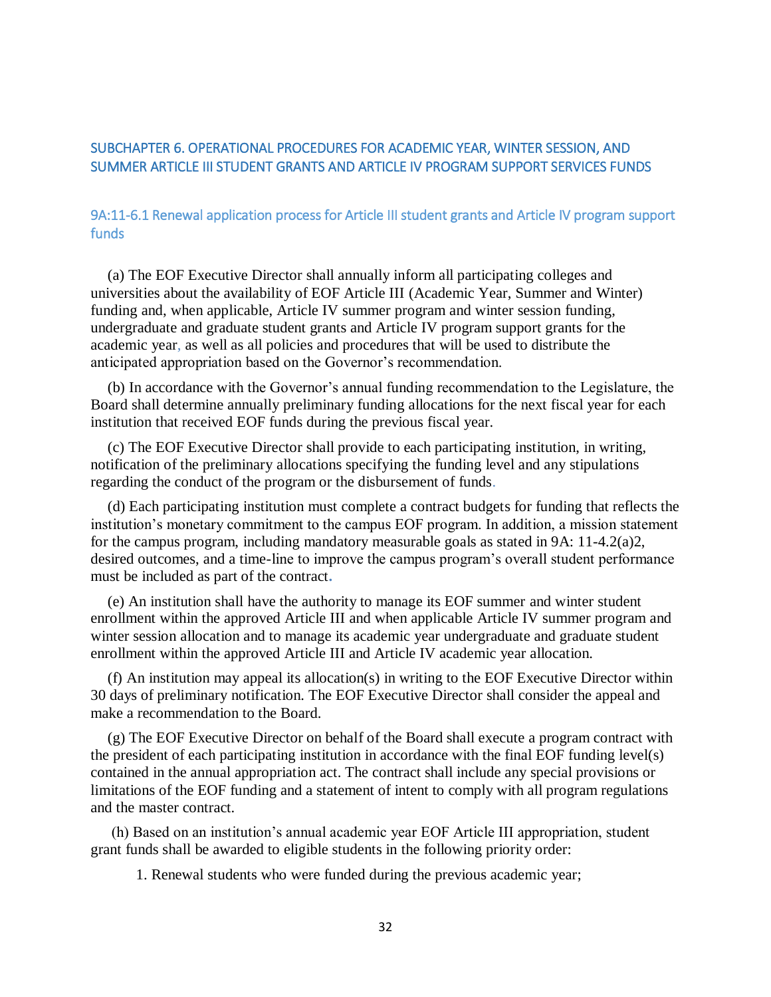# <span id="page-31-0"></span>SUBCHAPTER 6. OPERATIONAL PROCEDURES FOR ACADEMIC YEAR, WINTER SESSION, AND SUMMER ARTICLE III STUDENT GRANTS AND ARTICLE IV PROGRAM SUPPORT SERVICES FUNDS

# <span id="page-31-1"></span>9A:11-6.1 Renewal application process for Article III student grants and Article IV program support funds

(a) The EOF Executive Director shall annually inform all participating colleges and universities about the availability of EOF Article III (Academic Year, Summer and Winter) funding and, when applicable, Article IV summer program and winter session funding, undergraduate and graduate student grants and Article IV program support grants for the academic year, as well as all policies and procedures that will be used to distribute the anticipated appropriation based on the Governor's recommendation.

(b) In accordance with the Governor's annual funding recommendation to the Legislature, the Board shall determine annually preliminary funding allocations for the next fiscal year for each institution that received EOF funds during the previous fiscal year.

(c) The EOF Executive Director shall provide to each participating institution, in writing, notification of the preliminary allocations specifying the funding level and any stipulations regarding the conduct of the program or the disbursement of funds.

(d) Each participating institution must complete a contract budgets for funding that reflects the institution's monetary commitment to the campus EOF program. In addition, a mission statement for the campus program, including mandatory measurable goals as stated in 9A: 11-4.2(a)2, desired outcomes, and a time-line to improve the campus program's overall student performance must be included as part of the contract**.** 

(e) An institution shall have the authority to manage its EOF summer and winter student enrollment within the approved Article III and when applicable Article IV summer program and winter session allocation and to manage its academic year undergraduate and graduate student enrollment within the approved Article III and Article IV academic year allocation.

(f) An institution may appeal its allocation(s) in writing to the EOF Executive Director within 30 days of preliminary notification. The EOF Executive Director shall consider the appeal and make a recommendation to the Board.

(g) The EOF Executive Director on behalf of the Board shall execute a program contract with the president of each participating institution in accordance with the final EOF funding level(s) contained in the annual appropriation act. The contract shall include any special provisions or limitations of the EOF funding and a statement of intent to comply with all program regulations and the master contract.

(h) Based on an institution's annual academic year EOF Article III appropriation, student grant funds shall be awarded to eligible students in the following priority order:

1. Renewal students who were funded during the previous academic year;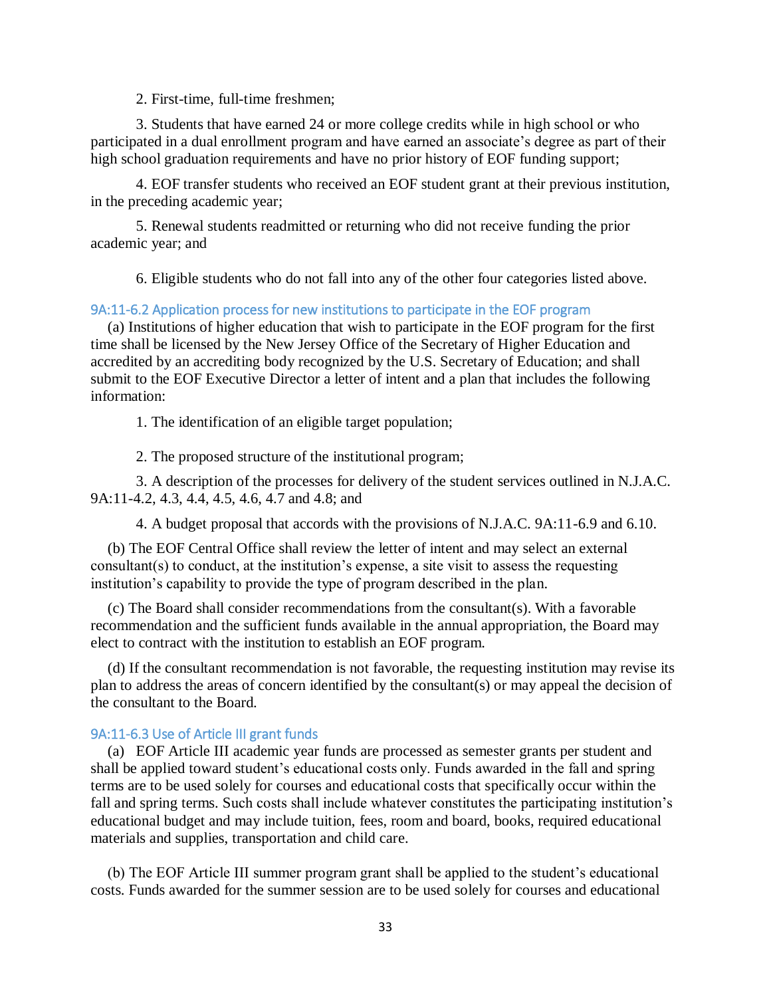2. First-time, full-time freshmen;

3. Students that have earned 24 or more college credits while in high school or who participated in a dual enrollment program and have earned an associate's degree as part of their high school graduation requirements and have no prior history of EOF funding support;

4. EOF transfer students who received an EOF student grant at their previous institution, in the preceding academic year;

5. Renewal students readmitted or returning who did not receive funding the prior academic year; and

6. Eligible students who do not fall into any of the other four categories listed above.

### <span id="page-32-0"></span>9A:11-6.2 Application process for new institutions to participate in the EOF program

(a) Institutions of higher education that wish to participate in the EOF program for the first time shall be licensed by the New Jersey Office of the Secretary of Higher Education and accredited by an accrediting body recognized by the U.S. Secretary of Education; and shall submit to the EOF Executive Director a letter of intent and a plan that includes the following information:

1. The identification of an eligible target population;

2. The proposed structure of the institutional program;

3. A description of the processes for delivery of the student services outlined in N.J.A.C. 9A:11-4.2, 4.3, 4.4, 4.5, 4.6, 4.7 and 4.8; and

4. A budget proposal that accords with the provisions of N.J.A.C. 9A:11-6.9 and 6.10.

(b) The EOF Central Office shall review the letter of intent and may select an external consultant(s) to conduct, at the institution's expense, a site visit to assess the requesting institution's capability to provide the type of program described in the plan.

(c) The Board shall consider recommendations from the consultant(s). With a favorable recommendation and the sufficient funds available in the annual appropriation, the Board may elect to contract with the institution to establish an EOF program.

(d) If the consultant recommendation is not favorable, the requesting institution may revise its plan to address the areas of concern identified by the consultant(s) or may appeal the decision of the consultant to the Board.

#### <span id="page-32-1"></span>9A:11-6.3 Use of Article III grant funds

(a) EOF Article III academic year funds are processed as semester grants per student and shall be applied toward student's educational costs only. Funds awarded in the fall and spring terms are to be used solely for courses and educational costs that specifically occur within the fall and spring terms. Such costs shall include whatever constitutes the participating institution's educational budget and may include tuition, fees, room and board, books, required educational materials and supplies, transportation and child care.

(b) The EOF Article III summer program grant shall be applied to the student's educational costs. Funds awarded for the summer session are to be used solely for courses and educational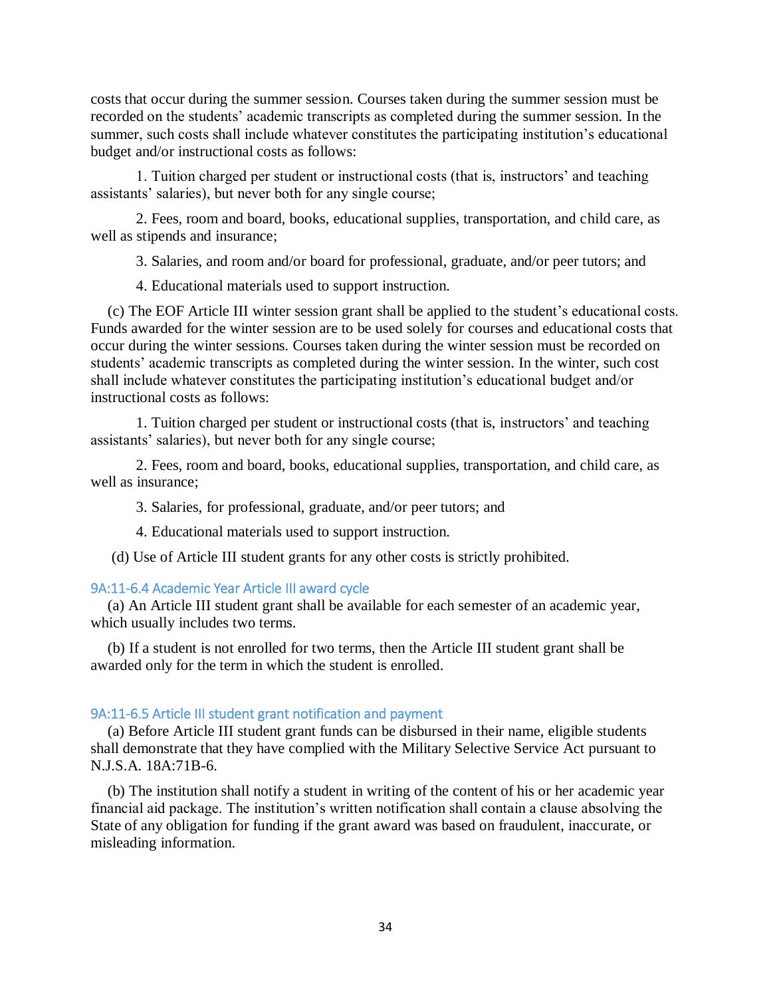costs that occur during the summer session. Courses taken during the summer session must be recorded on the students' academic transcripts as completed during the summer session. In the summer, such costs shall include whatever constitutes the participating institution's educational budget and/or instructional costs as follows:

1. Tuition charged per student or instructional costs (that is, instructors' and teaching assistants' salaries), but never both for any single course;

2. Fees, room and board, books, educational supplies, transportation, and child care, as well as stipends and insurance;

3. Salaries, and room and/or board for professional, graduate, and/or peer tutors; and

4. Educational materials used to support instruction.

(c) The EOF Article III winter session grant shall be applied to the student's educational costs. Funds awarded for the winter session are to be used solely for courses and educational costs that occur during the winter sessions. Courses taken during the winter session must be recorded on students' academic transcripts as completed during the winter session. In the winter, such cost shall include whatever constitutes the participating institution's educational budget and/or instructional costs as follows:

1. Tuition charged per student or instructional costs (that is, instructors' and teaching assistants' salaries), but never both for any single course;

2. Fees, room and board, books, educational supplies, transportation, and child care, as well as insurance;

3. Salaries, for professional, graduate, and/or peer tutors; and

4. Educational materials used to support instruction.

(d) Use of Article III student grants for any other costs is strictly prohibited.

# <span id="page-33-0"></span>9A:11-6.4 Academic Year Article III award cycle

(a) An Article III student grant shall be available for each semester of an academic year, which usually includes two terms.

(b) If a student is not enrolled for two terms, then the Article III student grant shall be awarded only for the term in which the student is enrolled.

# <span id="page-33-1"></span>9A:11-6.5 Article III student grant notification and payment

(a) Before Article III student grant funds can be disbursed in their name, eligible students shall demonstrate that they have complied with the Military Selective Service Act pursuant to N.J.S.A. 18A:71B-6.

(b) The institution shall notify a student in writing of the content of his or her academic year financial aid package. The institution's written notification shall contain a clause absolving the State of any obligation for funding if the grant award was based on fraudulent, inaccurate, or misleading information.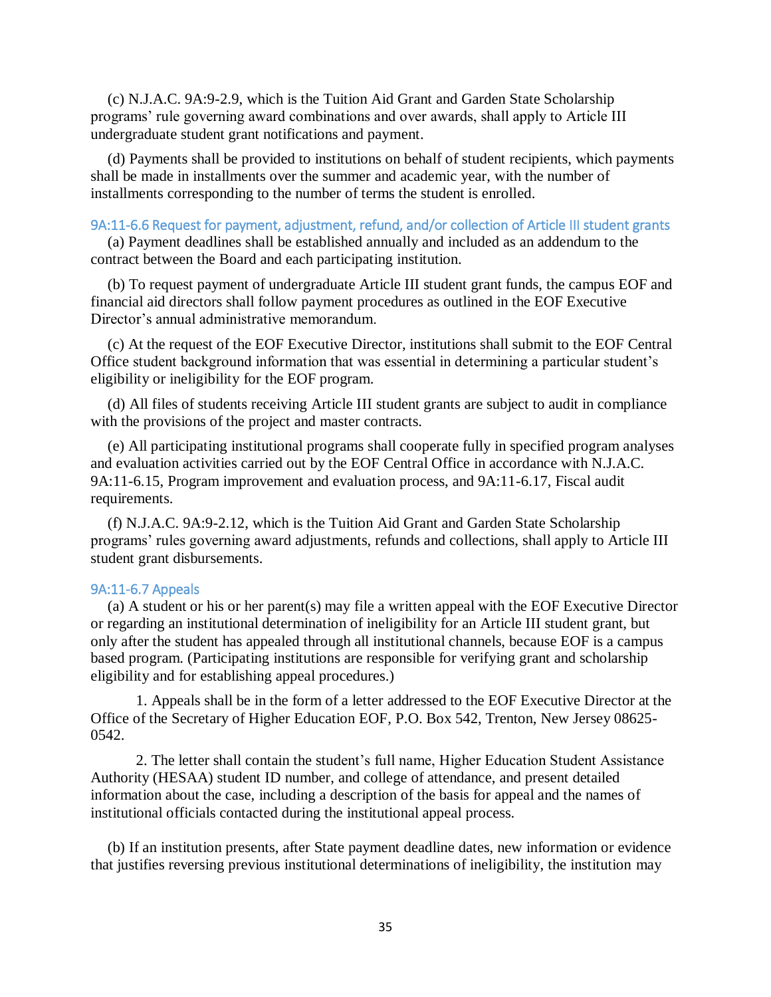(c) N.J.A.C. 9A:9-2.9, which is the Tuition Aid Grant and Garden State Scholarship programs' rule governing award combinations and over awards, shall apply to Article III undergraduate student grant notifications and payment.

(d) Payments shall be provided to institutions on behalf of student recipients, which payments shall be made in installments over the summer and academic year, with the number of installments corresponding to the number of terms the student is enrolled.

### <span id="page-34-0"></span>9A:11-6.6 Request for payment, adjustment, refund, and/or collection of Article III student grants

(a) Payment deadlines shall be established annually and included as an addendum to the contract between the Board and each participating institution.

(b) To request payment of undergraduate Article III student grant funds, the campus EOF and financial aid directors shall follow payment procedures as outlined in the EOF Executive Director's annual administrative memorandum.

(c) At the request of the EOF Executive Director, institutions shall submit to the EOF Central Office student background information that was essential in determining a particular student's eligibility or ineligibility for the EOF program.

(d) All files of students receiving Article III student grants are subject to audit in compliance with the provisions of the project and master contracts.

(e) All participating institutional programs shall cooperate fully in specified program analyses and evaluation activities carried out by the EOF Central Office in accordance with N.J.A.C. 9A:11-6.15, Program improvement and evaluation process, and 9A:11-6.17, Fiscal audit requirements.

(f) N.J.A.C. 9A:9-2.12, which is the Tuition Aid Grant and Garden State Scholarship programs' rules governing award adjustments, refunds and collections, shall apply to Article III student grant disbursements.

### <span id="page-34-1"></span>9A:11-6.7 Appeals

(a) A student or his or her parent(s) may file a written appeal with the EOF Executive Director or regarding an institutional determination of ineligibility for an Article III student grant, but only after the student has appealed through all institutional channels, because EOF is a campus based program. (Participating institutions are responsible for verifying grant and scholarship eligibility and for establishing appeal procedures.)

1. Appeals shall be in the form of a letter addressed to the EOF Executive Director at the Office of the Secretary of Higher Education EOF, P.O. Box 542, Trenton, New Jersey 08625- 0542.

2. The letter shall contain the student's full name, Higher Education Student Assistance Authority (HESAA) student ID number, and college of attendance, and present detailed information about the case, including a description of the basis for appeal and the names of institutional officials contacted during the institutional appeal process.

(b) If an institution presents, after State payment deadline dates, new information or evidence that justifies reversing previous institutional determinations of ineligibility, the institution may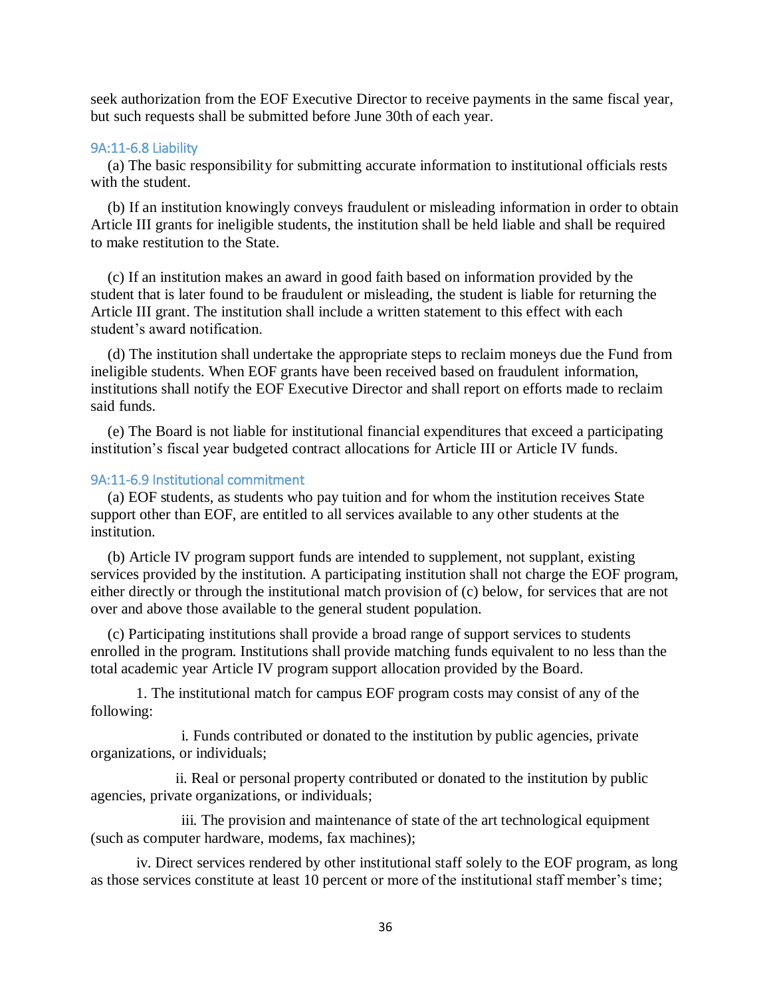seek authorization from the EOF Executive Director to receive payments in the same fiscal year, but such requests shall be submitted before June 30th of each year.

### <span id="page-35-0"></span>9A:11-6.8 Liability

(a) The basic responsibility for submitting accurate information to institutional officials rests with the student.

(b) If an institution knowingly conveys fraudulent or misleading information in order to obtain Article III grants for ineligible students, the institution shall be held liable and shall be required to make restitution to the State.

(c) If an institution makes an award in good faith based on information provided by the student that is later found to be fraudulent or misleading, the student is liable for returning the Article III grant. The institution shall include a written statement to this effect with each student's award notification.

(d) The institution shall undertake the appropriate steps to reclaim moneys due the Fund from ineligible students. When EOF grants have been received based on fraudulent information, institutions shall notify the EOF Executive Director and shall report on efforts made to reclaim said funds.

(e) The Board is not liable for institutional financial expenditures that exceed a participating institution's fiscal year budgeted contract allocations for Article III or Article IV funds.

### <span id="page-35-1"></span>9A:11-6.9 Institutional commitment

(a) EOF students, as students who pay tuition and for whom the institution receives State support other than EOF, are entitled to all services available to any other students at the institution.

(b) Article IV program support funds are intended to supplement, not supplant, existing services provided by the institution. A participating institution shall not charge the EOF program, either directly or through the institutional match provision of (c) below, for services that are not over and above those available to the general student population.

(c) Participating institutions shall provide a broad range of support services to students enrolled in the program. Institutions shall provide matching funds equivalent to no less than the total academic year Article IV program support allocation provided by the Board.

1. The institutional match for campus EOF program costs may consist of any of the following:

i. Funds contributed or donated to the institution by public agencies, private organizations, or individuals;

ii. Real or personal property contributed or donated to the institution by public agencies, private organizations, or individuals;

iii. The provision and maintenance of state of the art technological equipment (such as computer hardware, modems, fax machines);

 iv. Direct services rendered by other institutional staff solely to the EOF program, as long as those services constitute at least 10 percent or more of the institutional staff member's time;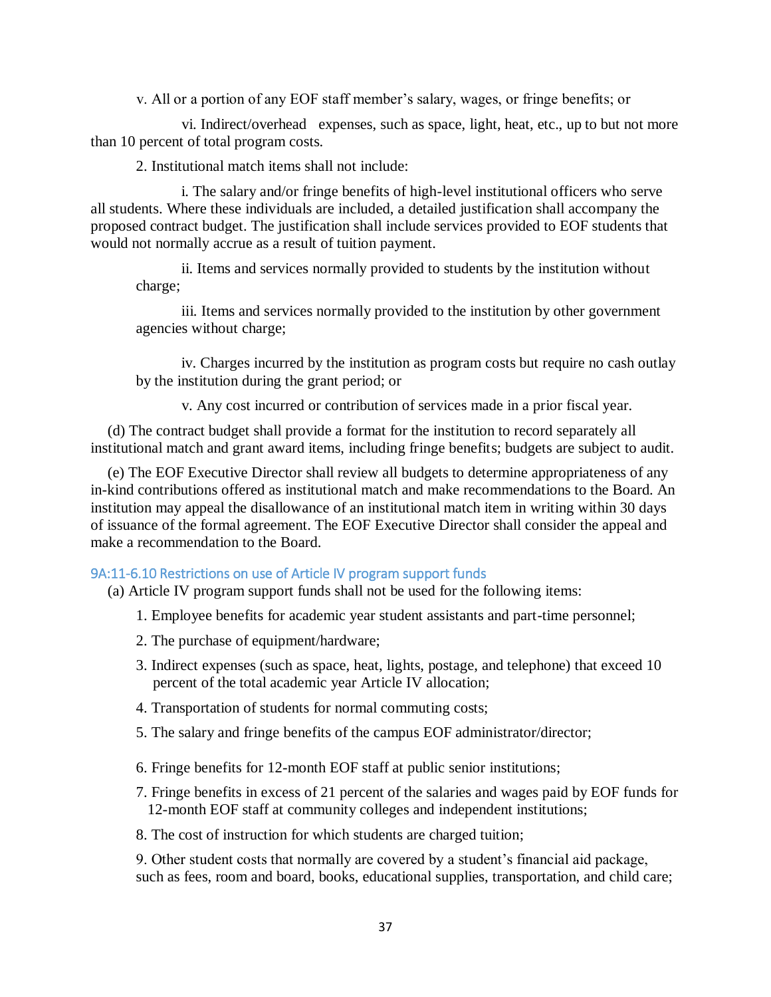v. All or a portion of any EOF staff member's salary, wages, or fringe benefits; or

 vi. Indirect/overhead expenses, such as space, light, heat, etc., up to but not more than 10 percent of total program costs.

2. Institutional match items shall not include:

i. The salary and/or fringe benefits of high-level institutional officers who serve all students. Where these individuals are included, a detailed justification shall accompany the proposed contract budget. The justification shall include services provided to EOF students that would not normally accrue as a result of tuition payment.

ii. Items and services normally provided to students by the institution without charge;

iii. Items and services normally provided to the institution by other government agencies without charge;

iv. Charges incurred by the institution as program costs but require no cash outlay by the institution during the grant period; or

v. Any cost incurred or contribution of services made in a prior fiscal year.

(d) The contract budget shall provide a format for the institution to record separately all institutional match and grant award items, including fringe benefits; budgets are subject to audit.

(e) The EOF Executive Director shall review all budgets to determine appropriateness of any in-kind contributions offered as institutional match and make recommendations to the Board. An institution may appeal the disallowance of an institutional match item in writing within 30 days of issuance of the formal agreement. The EOF Executive Director shall consider the appeal and make a recommendation to the Board.

# <span id="page-36-0"></span>9A:11-6.10 Restrictions on use of Article IV program support funds

(a) Article IV program support funds shall not be used for the following items:

- 1. Employee benefits for academic year student assistants and part-time personnel;
- 2. The purchase of equipment/hardware;
- 3. Indirect expenses (such as space, heat, lights, postage, and telephone) that exceed 10 percent of the total academic year Article IV allocation;
- 4. Transportation of students for normal commuting costs;
- 5. The salary and fringe benefits of the campus EOF administrator/director;
- 6. Fringe benefits for 12-month EOF staff at public senior institutions;
- 7. Fringe benefits in excess of 21 percent of the salaries and wages paid by EOF funds for 12-month EOF staff at community colleges and independent institutions;
- 8. The cost of instruction for which students are charged tuition;

9. Other student costs that normally are covered by a student's financial aid package, such as fees, room and board, books, educational supplies, transportation, and child care;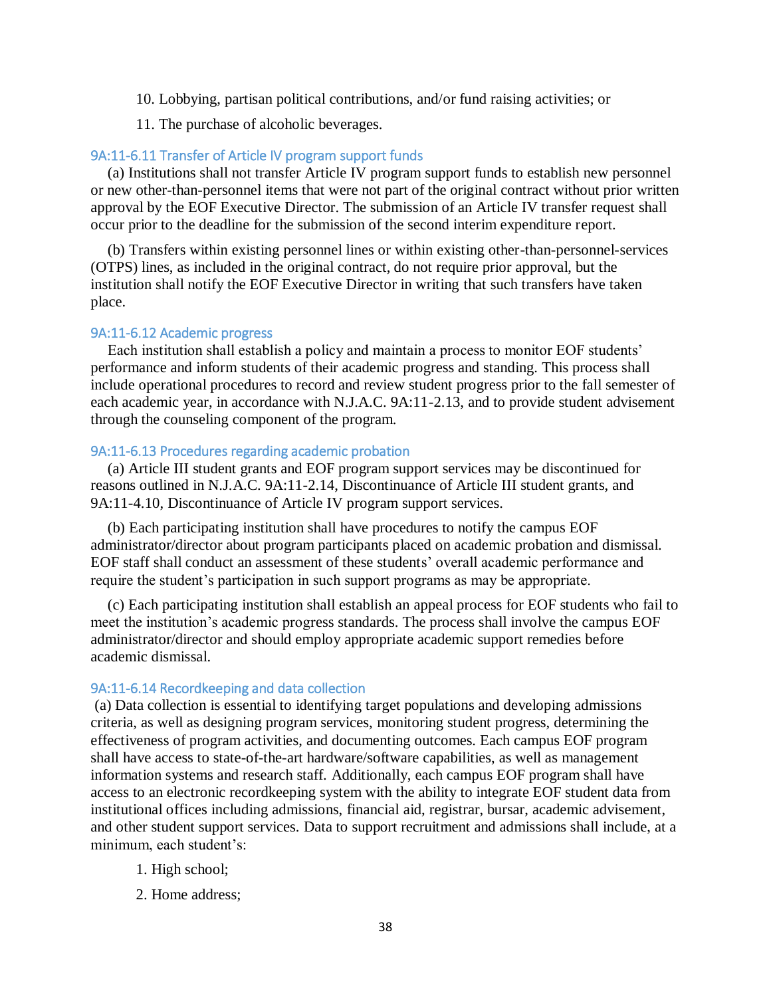- 10. Lobbying, partisan political contributions, and/or fund raising activities; or
- 11. The purchase of alcoholic beverages.

### <span id="page-37-0"></span>9A:11-6.11 Transfer of Article IV program support funds

(a) Institutions shall not transfer Article IV program support funds to establish new personnel or new other-than-personnel items that were not part of the original contract without prior written approval by the EOF Executive Director. The submission of an Article IV transfer request shall occur prior to the deadline for the submission of the second interim expenditure report.

(b) Transfers within existing personnel lines or within existing other-than-personnel-services (OTPS) lines, as included in the original contract, do not require prior approval, but the institution shall notify the EOF Executive Director in writing that such transfers have taken place.

#### <span id="page-37-1"></span>9A:11-6.12 Academic progress

Each institution shall establish a policy and maintain a process to monitor EOF students' performance and inform students of their academic progress and standing. This process shall include operational procedures to record and review student progress prior to the fall semester of each academic year, in accordance with N.J.A.C. 9A:11-2.13, and to provide student advisement through the counseling component of the program.

# <span id="page-37-2"></span>9A:11-6.13 Procedures regarding academic probation

(a) Article III student grants and EOF program support services may be discontinued for reasons outlined in N.J.A.C. 9A:11-2.14, Discontinuance of Article III student grants, and 9A:11-4.10, Discontinuance of Article IV program support services.

(b) Each participating institution shall have procedures to notify the campus EOF administrator/director about program participants placed on academic probation and dismissal. EOF staff shall conduct an assessment of these students' overall academic performance and require the student's participation in such support programs as may be appropriate.

(c) Each participating institution shall establish an appeal process for EOF students who fail to meet the institution's academic progress standards. The process shall involve the campus EOF administrator/director and should employ appropriate academic support remedies before academic dismissal.

### <span id="page-37-3"></span>9A:11-6.14 Recordkeeping and data collection

(a) Data collection is essential to identifying target populations and developing admissions criteria, as well as designing program services, monitoring student progress, determining the effectiveness of program activities, and documenting outcomes. Each campus EOF program shall have access to state-of-the-art hardware/software capabilities, as well as management information systems and research staff. Additionally, each campus EOF program shall have access to an electronic recordkeeping system with the ability to integrate EOF student data from institutional offices including admissions, financial aid, registrar, bursar, academic advisement, and other student support services. Data to support recruitment and admissions shall include, at a minimum, each student's:

- 1. High school;
- 2. Home address;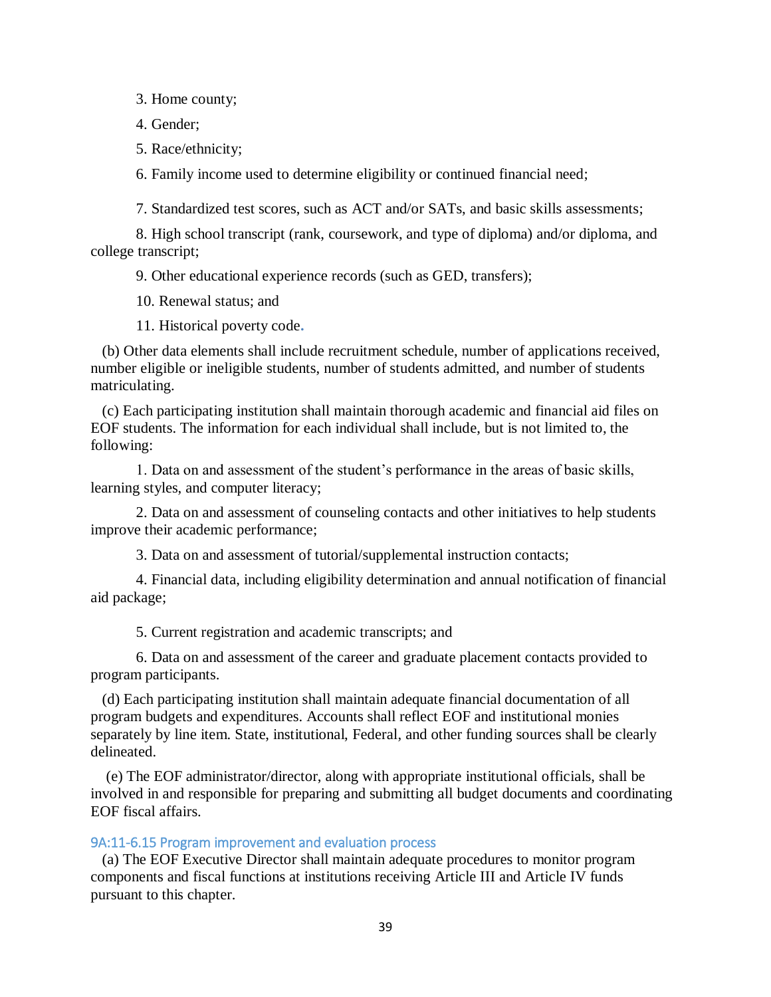3. Home county;

4. Gender;

5. Race/ethnicity;

6. Family income used to determine eligibility or continued financial need;

7. Standardized test scores, such as ACT and/or SATs, and basic skills assessments;

8. High school transcript (rank, coursework, and type of diploma) and/or diploma, and college transcript;

9. Other educational experience records (such as GED, transfers);

10. Renewal status; and

11. Historical poverty code**.** 

(b) Other data elements shall include recruitment schedule, number of applications received, number eligible or ineligible students, number of students admitted, and number of students matriculating.

(c) Each participating institution shall maintain thorough academic and financial aid files on EOF students. The information for each individual shall include, but is not limited to, the following:

1. Data on and assessment of the student's performance in the areas of basic skills, learning styles, and computer literacy;

2. Data on and assessment of counseling contacts and other initiatives to help students improve their academic performance;

3. Data on and assessment of tutorial/supplemental instruction contacts;

4. Financial data, including eligibility determination and annual notification of financial aid package;

5. Current registration and academic transcripts; and

6. Data on and assessment of the career and graduate placement contacts provided to program participants.

(d) Each participating institution shall maintain adequate financial documentation of all program budgets and expenditures. Accounts shall reflect EOF and institutional monies separately by line item. State, institutional, Federal, and other funding sources shall be clearly delineated.

(e) The EOF administrator/director, along with appropriate institutional officials, shall be involved in and responsible for preparing and submitting all budget documents and coordinating EOF fiscal affairs.

# <span id="page-38-0"></span>9A:11-6.15 Program improvement and evaluation process

(a) The EOF Executive Director shall maintain adequate procedures to monitor program components and fiscal functions at institutions receiving Article III and Article IV funds pursuant to this chapter.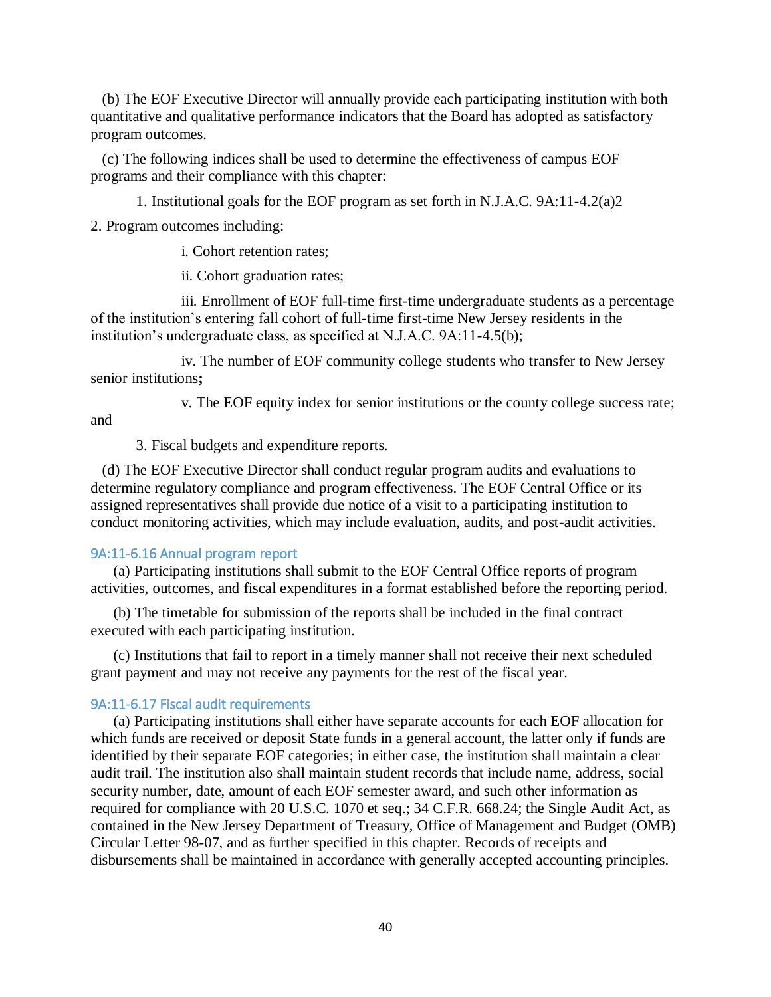(b) The EOF Executive Director will annually provide each participating institution with both quantitative and qualitative performance indicators that the Board has adopted as satisfactory program outcomes.

(c) The following indices shall be used to determine the effectiveness of campus EOF programs and their compliance with this chapter:

1. Institutional goals for the EOF program as set forth in N.J.A.C. 9A:11-4.2(a)2

2. Program outcomes including:

i. Cohort retention rates;

ii. Cohort graduation rates;

iii. Enrollment of EOF full-time first-time undergraduate students as a percentage of the institution's entering fall cohort of full-time first-time New Jersey residents in the institution's undergraduate class, as specified at N.J.A.C. 9A:11-4.5(b);

iv. The number of EOF community college students who transfer to New Jersey senior institutions**;** 

v. The EOF equity index for senior institutions or the county college success rate;

and

3. Fiscal budgets and expenditure reports.

(d) The EOF Executive Director shall conduct regular program audits and evaluations to determine regulatory compliance and program effectiveness. The EOF Central Office or its assigned representatives shall provide due notice of a visit to a participating institution to conduct monitoring activities, which may include evaluation, audits, and post-audit activities.

# <span id="page-39-0"></span>9A:11-6.16 Annual program report

(a) Participating institutions shall submit to the EOF Central Office reports of program activities, outcomes, and fiscal expenditures in a format established before the reporting period.

(b) The timetable for submission of the reports shall be included in the final contract executed with each participating institution.

(c) Institutions that fail to report in a timely manner shall not receive their next scheduled grant payment and may not receive any payments for the rest of the fiscal year.

#### <span id="page-39-1"></span>9A:11-6.17 Fiscal audit requirements

(a) Participating institutions shall either have separate accounts for each EOF allocation for which funds are received or deposit State funds in a general account, the latter only if funds are identified by their separate EOF categories; in either case, the institution shall maintain a clear audit trail. The institution also shall maintain student records that include name, address, social security number, date, amount of each EOF semester award, and such other information as required for compliance with 20 U.S.C. 1070 et seq.; 34 C.F.R. 668.24; the Single Audit Act, as contained in the New Jersey Department of Treasury, Office of Management and Budget (OMB) Circular Letter 98-07, and as further specified in this chapter. Records of receipts and disbursements shall be maintained in accordance with generally accepted accounting principles.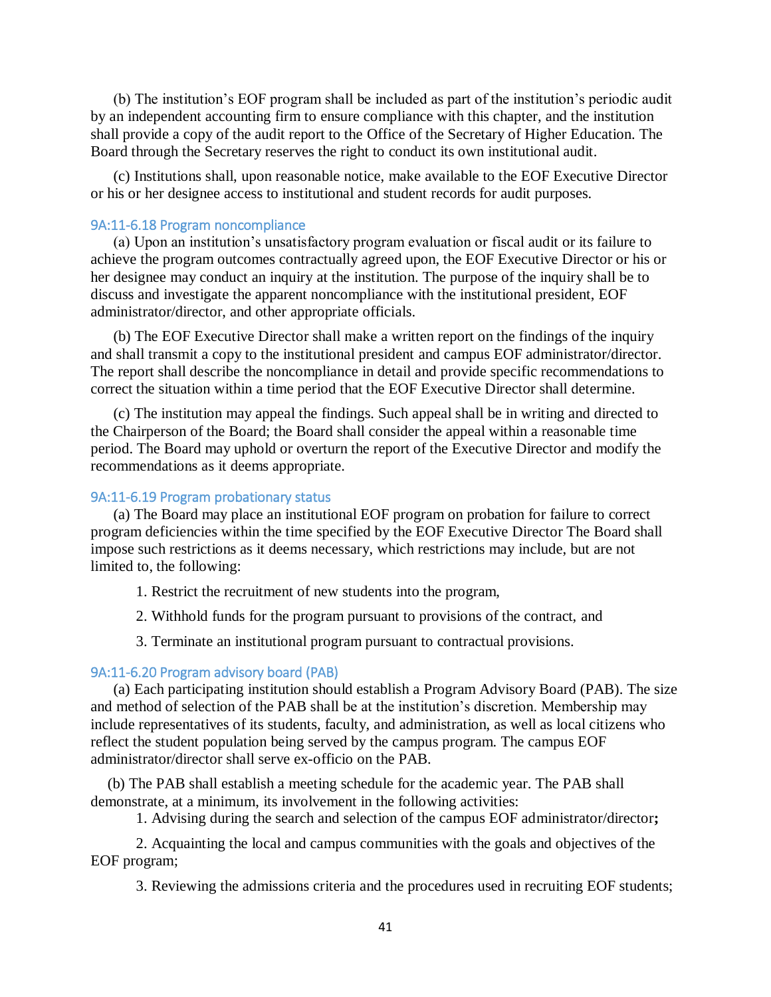(b) The institution's EOF program shall be included as part of the institution's periodic audit by an independent accounting firm to ensure compliance with this chapter, and the institution shall provide a copy of the audit report to the Office of the Secretary of Higher Education. The Board through the Secretary reserves the right to conduct its own institutional audit.

(c) Institutions shall, upon reasonable notice, make available to the EOF Executive Director or his or her designee access to institutional and student records for audit purposes.

# <span id="page-40-0"></span>9A:11-6.18 Program noncompliance

(a) Upon an institution's unsatisfactory program evaluation or fiscal audit or its failure to achieve the program outcomes contractually agreed upon, the EOF Executive Director or his or her designee may conduct an inquiry at the institution. The purpose of the inquiry shall be to discuss and investigate the apparent noncompliance with the institutional president, EOF administrator/director, and other appropriate officials.

(b) The EOF Executive Director shall make a written report on the findings of the inquiry and shall transmit a copy to the institutional president and campus EOF administrator/director. The report shall describe the noncompliance in detail and provide specific recommendations to correct the situation within a time period that the EOF Executive Director shall determine.

(c) The institution may appeal the findings. Such appeal shall be in writing and directed to the Chairperson of the Board; the Board shall consider the appeal within a reasonable time period. The Board may uphold or overturn the report of the Executive Director and modify the recommendations as it deems appropriate.

# <span id="page-40-1"></span>9A:11-6.19 Program probationary status

(a) The Board may place an institutional EOF program on probation for failure to correct program deficiencies within the time specified by the EOF Executive Director The Board shall impose such restrictions as it deems necessary, which restrictions may include, but are not limited to, the following:

- 1. Restrict the recruitment of new students into the program,
- 2. Withhold funds for the program pursuant to provisions of the contract, and
- 3. Terminate an institutional program pursuant to contractual provisions.

#### <span id="page-40-2"></span>9A:11-6.20 Program advisory board (PAB)

(a) Each participating institution should establish a Program Advisory Board (PAB). The size and method of selection of the PAB shall be at the institution's discretion. Membership may include representatives of its students, faculty, and administration, as well as local citizens who reflect the student population being served by the campus program. The campus EOF administrator/director shall serve ex-officio on the PAB.

(b) The PAB shall establish a meeting schedule for the academic year. The PAB shall demonstrate, at a minimum, its involvement in the following activities:

1. Advising during the search and selection of the campus EOF administrator/director**;** 

2. Acquainting the local and campus communities with the goals and objectives of the EOF program;

3. Reviewing the admissions criteria and the procedures used in recruiting EOF students;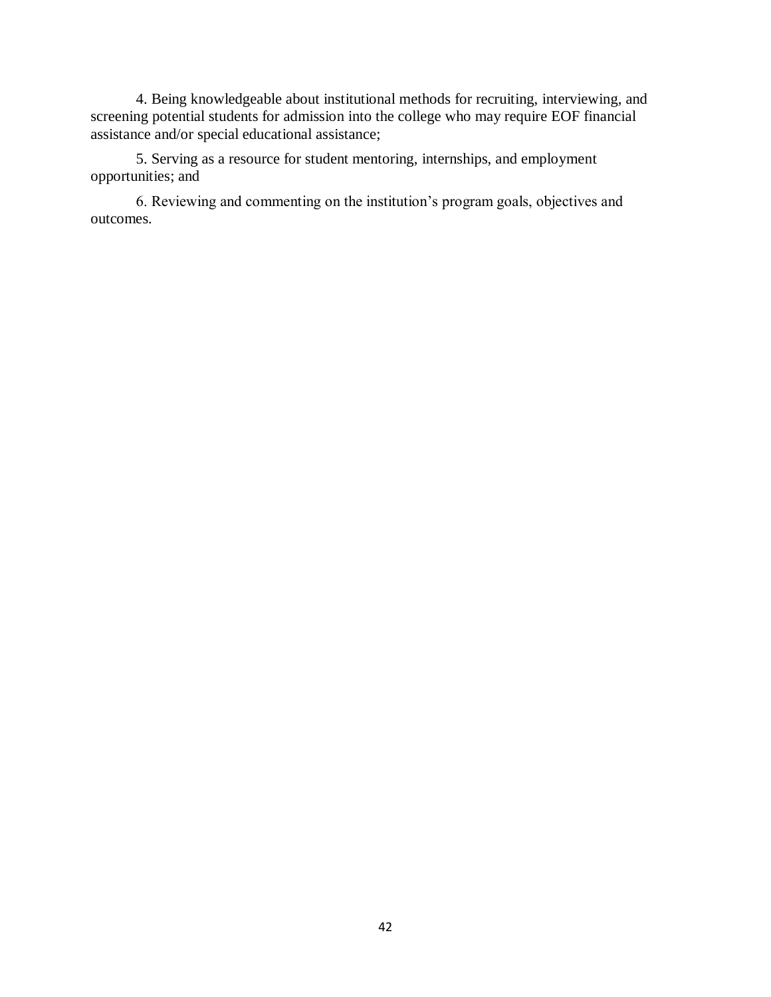4. Being knowledgeable about institutional methods for recruiting, interviewing, and screening potential students for admission into the college who may require EOF financial assistance and/or special educational assistance;

5. Serving as a resource for student mentoring, internships, and employment opportunities; and

6. Reviewing and commenting on the institution's program goals, objectives and outcomes.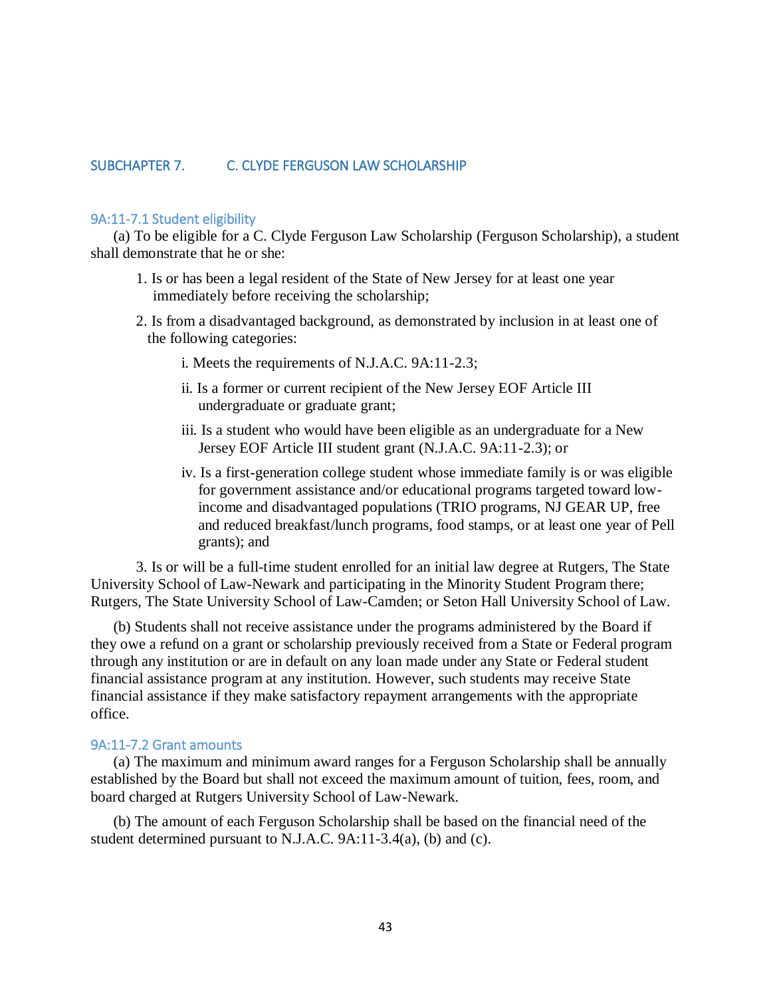# <span id="page-42-0"></span>SUBCHAPTER 7. C. CLYDE FERGUSON LAW SCHOLARSHIP

#### <span id="page-42-1"></span>9A:11-7.1 Student eligibility

(a) To be eligible for a C. Clyde Ferguson Law Scholarship (Ferguson Scholarship), a student shall demonstrate that he or she:

- 1. Is or has been a legal resident of the State of New Jersey for at least one year immediately before receiving the scholarship;
- 2. Is from a disadvantaged background, as demonstrated by inclusion in at least one of the following categories:
	- i. Meets the requirements of N.J.A.C. 9A:11-2.3;
	- ii. Is a former or current recipient of the New Jersey EOF Article III undergraduate or graduate grant;
	- iii. Is a student who would have been eligible as an undergraduate for a New Jersey EOF Article III student grant (N.J.A.C. 9A:11-2.3); or
	- iv. Is a first-generation college student whose immediate family is or was eligible for government assistance and/or educational programs targeted toward lowincome and disadvantaged populations (TRIO programs, NJ GEAR UP, free and reduced breakfast/lunch programs, food stamps, or at least one year of Pell grants); and

3. Is or will be a full-time student enrolled for an initial law degree at Rutgers, The State University School of Law-Newark and participating in the Minority Student Program there; Rutgers, The State University School of Law-Camden; or Seton Hall University School of Law.

(b) Students shall not receive assistance under the programs administered by the Board if they owe a refund on a grant or scholarship previously received from a State or Federal program through any institution or are in default on any loan made under any State or Federal student financial assistance program at any institution. However, such students may receive State financial assistance if they make satisfactory repayment arrangements with the appropriate office.

### <span id="page-42-2"></span>9A:11-7.2 Grant amounts

(a) The maximum and minimum award ranges for a Ferguson Scholarship shall be annually established by the Board but shall not exceed the maximum amount of tuition, fees, room, and board charged at Rutgers University School of Law-Newark.

(b) The amount of each Ferguson Scholarship shall be based on the financial need of the student determined pursuant to N.J.A.C. 9A:11-3.4(a), (b) and (c).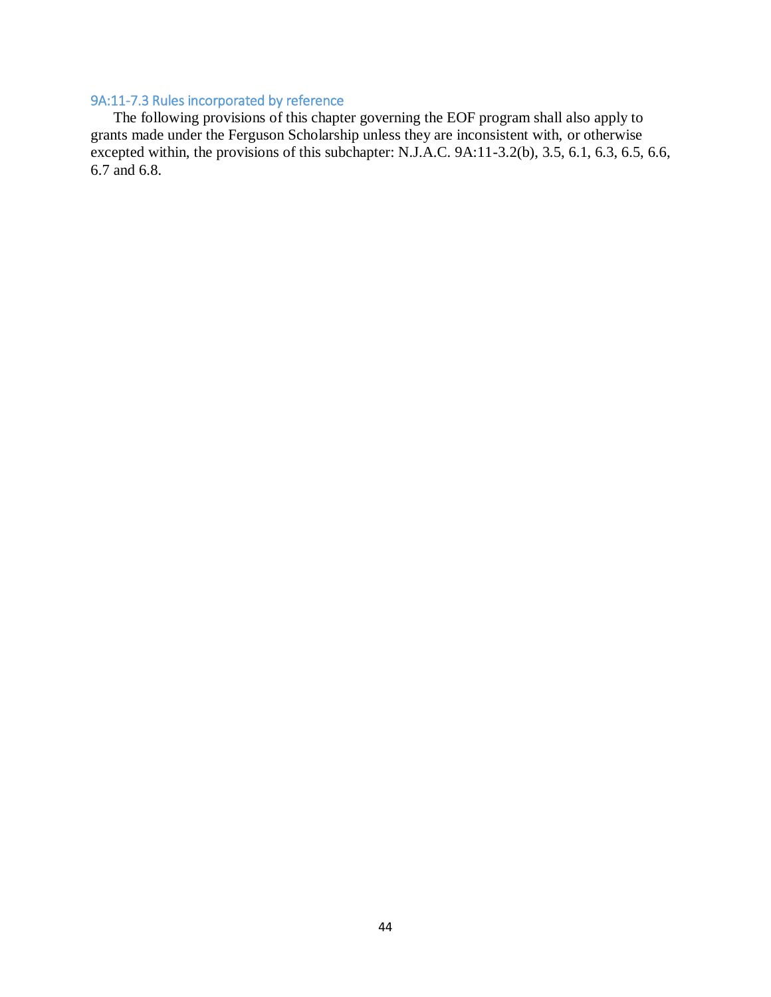# <span id="page-43-0"></span>9A:11-7.3 Rules incorporated by reference

The following provisions of this chapter governing the EOF program shall also apply to grants made under the Ferguson Scholarship unless they are inconsistent with, or otherwise excepted within, the provisions of this subchapter: N.J.A.C. 9A:11-3.2(b), 3.5, 6.1, 6.3, 6.5, 6.6, 6.7 and 6.8.